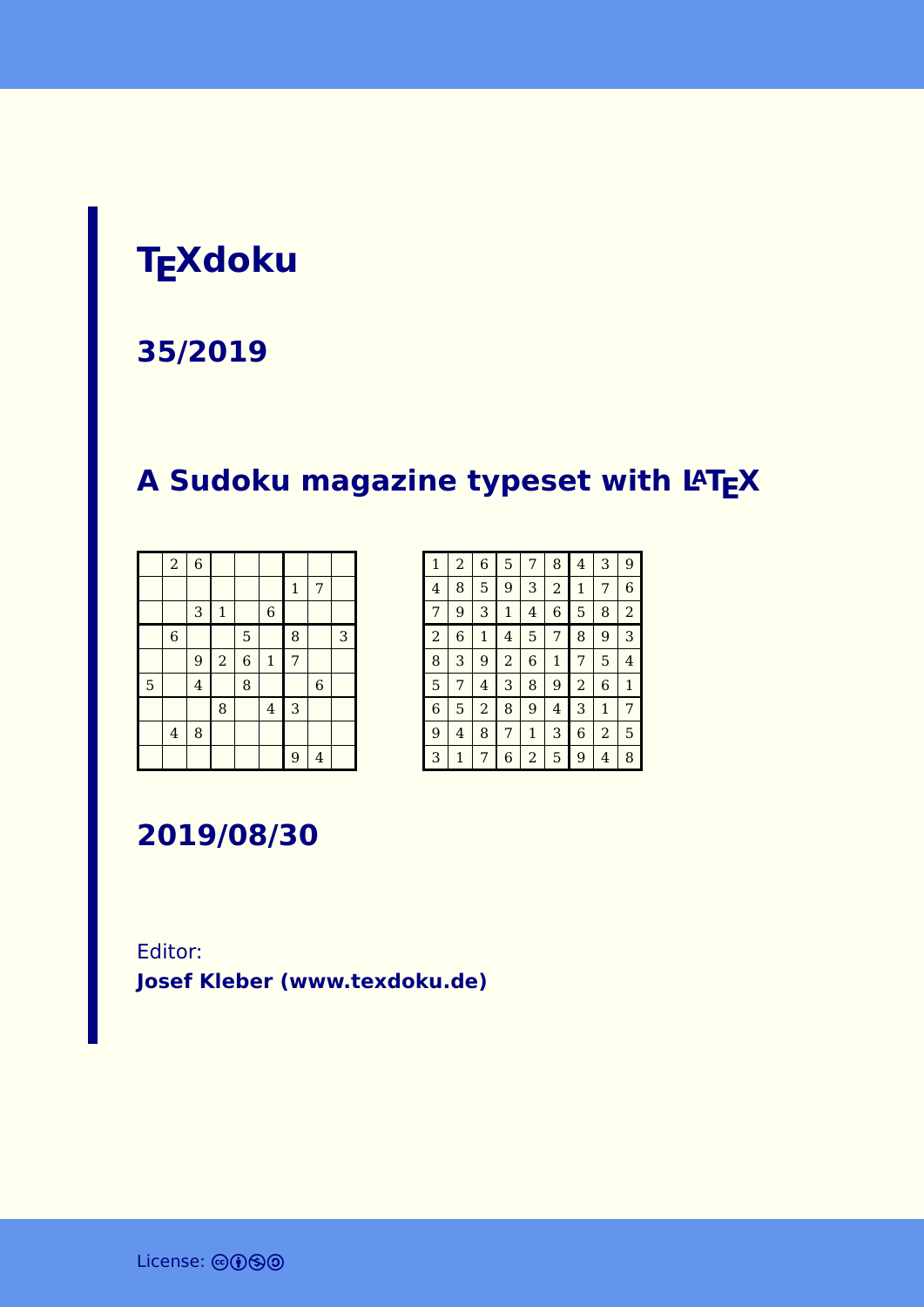# **TEXdoku**

#### **35/2019**

## **A Sudoku magazine typeset with LATEX**

|   | $\overline{a}$          | $\overline{6}$ |              |                |                |              |                |   |
|---|-------------------------|----------------|--------------|----------------|----------------|--------------|----------------|---|
|   |                         |                |              |                |                | $\mathbf{1}$ | 7              |   |
|   |                         | 3              | $\mathbf{1}$ |                | $\,$ 6 $\,$    |              |                |   |
|   | $\,$ 6 $\,$             |                |              | 5              |                | 8            |                | 3 |
|   |                         | 9              | $\sqrt{2}$   | $\overline{6}$ | $\mathbf 1$    | 7            |                |   |
| 5 |                         | $\overline{4}$ |              | 8              |                |              | $\overline{6}$ |   |
|   |                         |                | 8            |                | $\overline{4}$ | 3            |                |   |
|   | $\overline{\mathbf{4}}$ | 8              |              |                |                |              |                |   |
|   |                         |                |              |                |                | 9            | $\overline{4}$ |   |

| $\mathbf{1}$   | $\overline{a}$ | 6              | 5              | 7 | 8              | 4              | 3            | 9              |
|----------------|----------------|----------------|----------------|---|----------------|----------------|--------------|----------------|
| 4              | 8              | 5              | 9              | 3 | $\overline{a}$ | 1              | 7            | 6              |
| $\overline{7}$ | 9              | 3              | $\mathbf{1}$   | 4 | 6              | 5              | 8            | $\overline{a}$ |
| $\overline{2}$ | 6              | $\mathbf{1}$   | 4              | 5 | 7              | 8              | 9            | 3              |
| 8              | 3              | 9              | $\overline{2}$ | 6 | $\mathbf{1}$   | 7              | 5            | 4              |
| 5              | 7              | 4              | 3              | 8 | 9              | $\overline{a}$ | 6            | $\mathbf{1}$   |
| 6              | 5              | $\overline{a}$ | 8              | 9 | 4              | 3              | $\mathbf{1}$ | 7              |
| 9              | 4              | 8              | 7              | 1 | 3              | 6              | 2            | 5              |
| 3              | 1              | 7              | 6              | 2 | 5              | 9              | 4            | 8              |

**2019/08/30**

Editor: **[Josef Kleber \(www.texdoku.de\)](mailto:texdoku@texdoku.de)**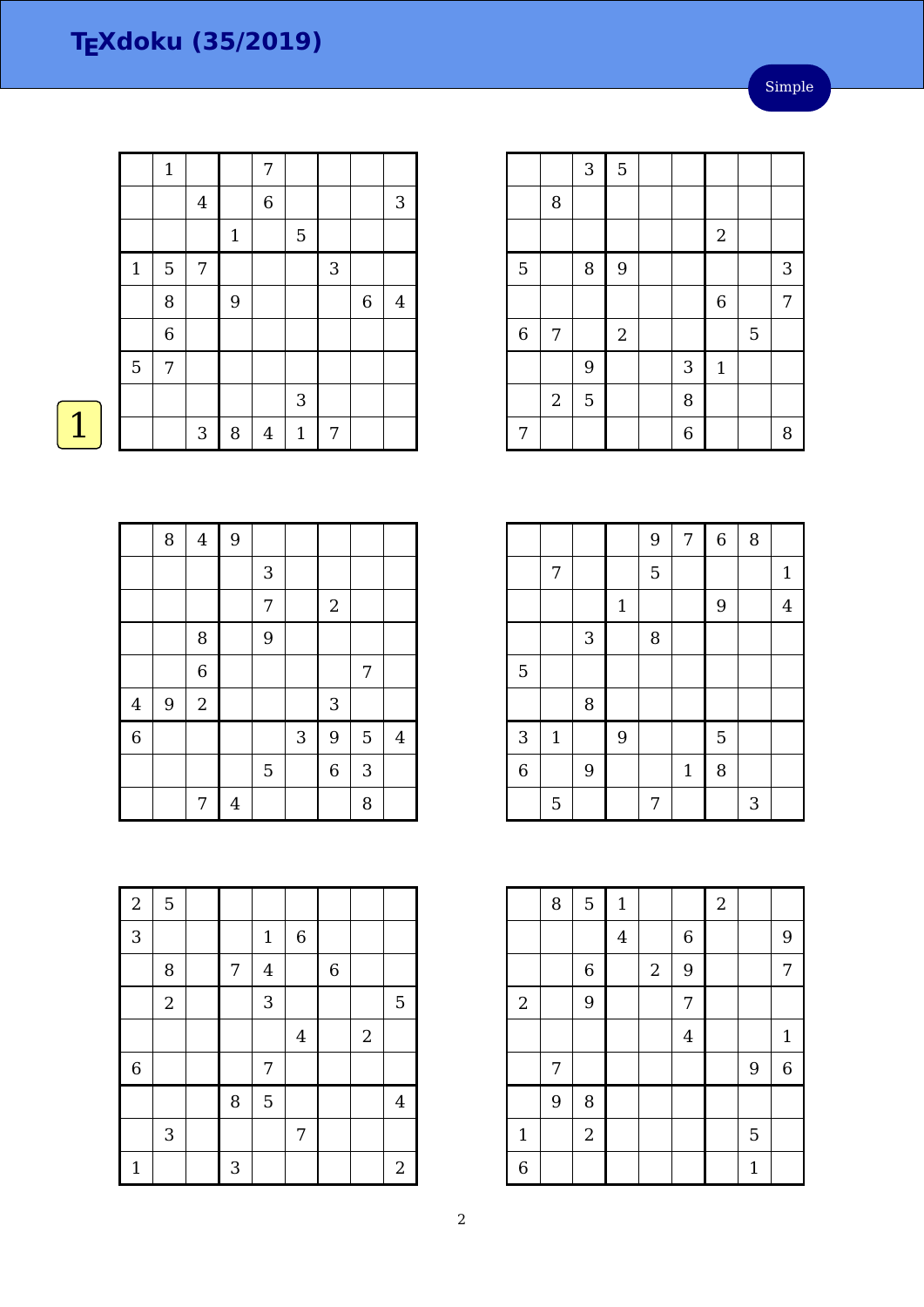Simple

|             | $\mathbf{1}$     |                |              | 7              |              |              |             |                |
|-------------|------------------|----------------|--------------|----------------|--------------|--------------|-------------|----------------|
|             |                  | $\overline{4}$ |              | $\,$ 6 $\,$    |              |              |             | 3              |
|             |                  |                | $\mathbf{1}$ |                | $\mathbf 5$  |              |             |                |
| $\mathbf 1$ | $\mathbf 5$      | 7              |              |                |              | $\mathbf{3}$ |             |                |
|             | 8                |                | 9            |                |              |              | $\,$ 6 $\,$ | $\overline{4}$ |
|             | $\overline{6}$   |                |              |                |              |              |             |                |
| 5           | $\boldsymbol{7}$ |                |              |                |              |              |             |                |
|             |                  |                |              |                | $\sqrt{3}$   |              |             |                |
|             |                  | $\sqrt{3}$     | 8            | $\overline{4}$ | $\mathbf{1}$ | 7            |             |                |
|             |                  |                |              |                |              |              |             |                |

|                |            | 3 | 5            |                  |             |                |   |
|----------------|------------|---|--------------|------------------|-------------|----------------|---|
|                | 8          |   |              |                  |             |                |   |
|                |            |   |              |                  | $\sqrt{2}$  |                |   |
| $\overline{5}$ |            | 8 | 9            |                  |             |                | 3 |
|                |            |   |              |                  | $\,$ 6 $\,$ |                | 7 |
| $\overline{6}$ | 7          |   | $\mathbf{2}$ |                  |             | $\overline{5}$ |   |
|                |            | 9 |              | 3                | $\mathbf 1$ |                |   |
|                | $\sqrt{2}$ | 5 |              | 8                |             |                |   |
| 7              |            |   |              | $\boldsymbol{6}$ |             |                | 8 |

|                |              |   |             | 9 | 7           | $\overline{6}$ | 8 |                |
|----------------|--------------|---|-------------|---|-------------|----------------|---|----------------|
|                | 7            |   |             | 5 |             |                |   | $\mathbf{1}$   |
|                |              |   | $\mathbf 1$ |   |             | 9              |   | $\overline{4}$ |
|                |              | 3 |             | 8 |             |                |   |                |
| 5              |              |   |             |   |             |                |   |                |
|                |              | 8 |             |   |             |                |   |                |
| 3              | $\mathbf{1}$ |   | 9           |   |             | 5              |   |                |
| $\overline{6}$ |              | 9 |             |   | $\mathbf 1$ | 8              |   |                |
|                | 5            |   |             | 7 |             |                | 3 |                |

|                | 8 | $\overline{5}$ | $\mathbf{1}$   |                  |                  | $\overline{a}$ |              |                |
|----------------|---|----------------|----------------|------------------|------------------|----------------|--------------|----------------|
|                |   |                | $\overline{4}$ |                  | $\boldsymbol{6}$ |                |              | 9              |
|                |   | $\,6\,$        |                | $\boldsymbol{2}$ | 9                |                |              | 7              |
| $\overline{2}$ |   | 9              |                |                  | 7                |                |              |                |
|                |   |                |                |                  | $\overline{4}$   |                |              | $\mathbf{1}$   |
|                | 7 |                |                |                  |                  |                | 9            | $\overline{6}$ |
|                | 9 | 8              |                |                  |                  |                |              |                |
| $\mathbf{1}$   |   | $\sqrt{2}$     |                |                  |                  |                | 5            |                |
| 6              |   |                |                |                  |                  |                | $\mathbf{1}$ |                |

|                | 8 | $\overline{4}$ | 9 |   |   |                |   |         |
|----------------|---|----------------|---|---|---|----------------|---|---------|
|                |   |                |   | 3 |   |                |   |         |
|                |   |                |   | 7 |   | $\sqrt{2}$     |   |         |
|                |   | 8              |   | 9 |   |                |   |         |
|                |   | $\overline{6}$ |   |   |   |                | 7 |         |
| $\overline{4}$ | 9 | $\overline{2}$ |   |   |   | 3              |   |         |
| $\overline{6}$ |   |                |   |   | 3 | 9              | 5 | $\bf 4$ |
|                |   |                |   | 5 |   | $\overline{6}$ | 3 |         |
|                |   | 7              | 4 |   |   |                | 8 |         |

| $\overline{2}$ | $\overline{5}$            |                |                |                |                |            |                         |
|----------------|---------------------------|----------------|----------------|----------------|----------------|------------|-------------------------|
| 3              |                           |                | $\mathbf 1$    | $\,$ 6 $\,$    |                |            |                         |
|                | 8                         | $\overline{7}$ | $\overline{4}$ |                | $\overline{6}$ |            |                         |
|                | $\sqrt{2}$                |                | 3              |                |                |            | 5                       |
|                |                           |                |                | $\overline{4}$ |                | $\sqrt{2}$ |                         |
| $\,$ 6 $\,$    |                           |                | 7              |                |                |            |                         |
|                |                           | 8              | 5              |                |                |            | $\overline{\mathbf{4}}$ |
|                | $\ensuremath{\mathsf{3}}$ |                |                | 7              |                |            |                         |
| $\mathbf{1}$   |                           | $\mathbf{3}$   |                |                |                |            | $\overline{2}$          |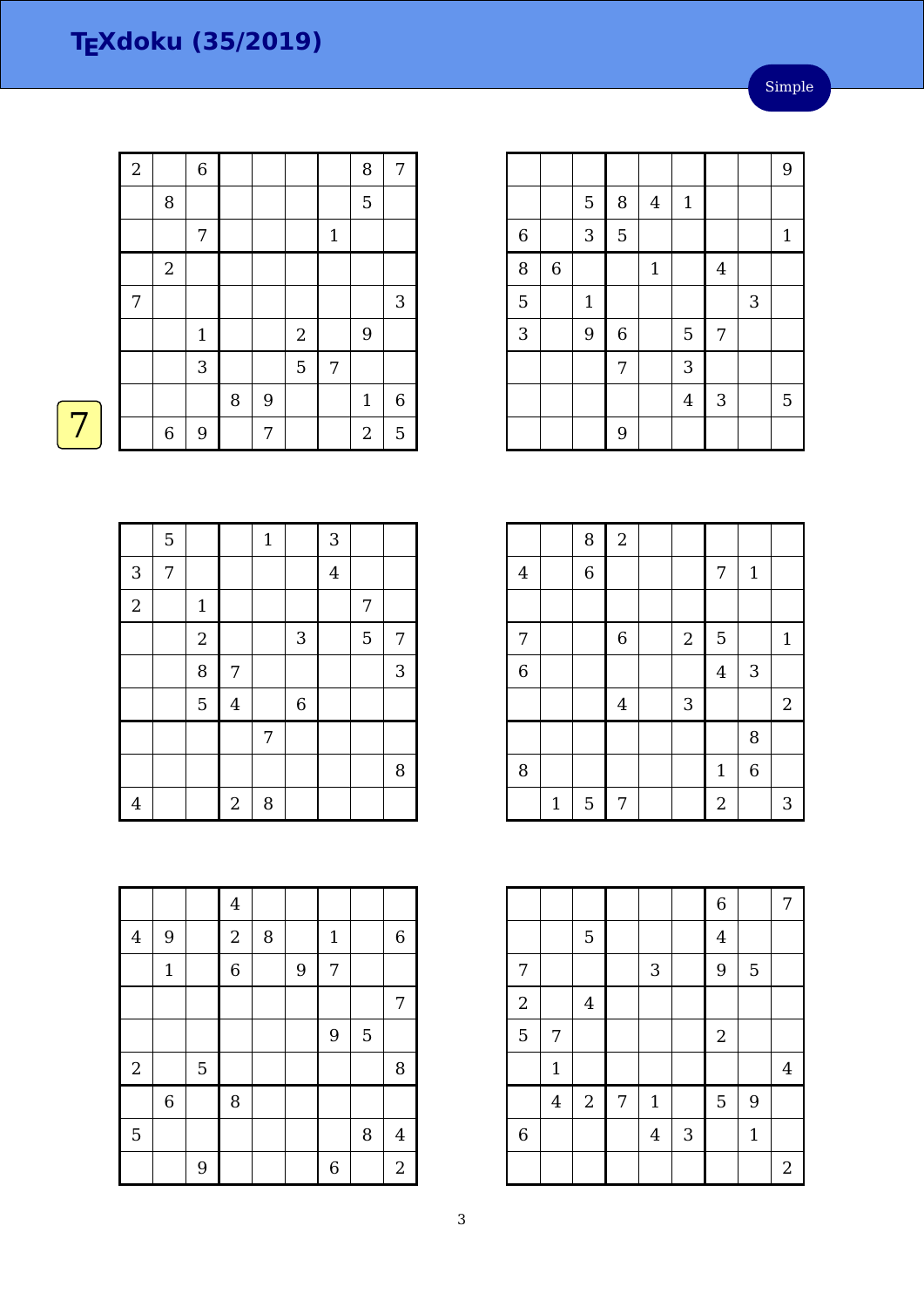| $\sqrt{2}$ |                  | $\,$ 6 $\,$  |   |       |            |              | 8              | 7       |
|------------|------------------|--------------|---|-------|------------|--------------|----------------|---------|
|            | 8                |              |   |       |            |              | 5              |         |
|            |                  | 7            |   |       |            | $\mathbf{1}$ |                |         |
|            | $\sqrt{2}$       |              |   |       |            |              |                |         |
| 7          |                  |              |   |       |            |              |                | 3       |
|            |                  | $\mathbf{1}$ |   |       | $\sqrt{2}$ |              | 9              |         |
|            |                  | 3            |   |       | 5          | 7            |                |         |
|            |                  |              | 8 | $9\,$ |            |              | $\mathbf{1}$   | $\,6\,$ |
|            | $\boldsymbol{6}$ | 9            |   | 7     |            |              | $\overline{2}$ | 5       |

|                |                  |             |                |       |                |                  |   | 9     |
|----------------|------------------|-------------|----------------|-------|----------------|------------------|---|-------|
|                |                  | $\mathbf 5$ | 8              | 4     | $1\,$          |                  |   |       |
| $\overline{6}$ |                  | 3           | 5              |       |                |                  |   | $1\,$ |
| 8              | $\boldsymbol{6}$ |             |                | $1\,$ |                | $\boldsymbol{4}$ |   |       |
| 5              |                  | $\mathbf 1$ |                |       |                |                  | 3 |       |
| 3              |                  | 9           | $\overline{6}$ |       | 5              | 7                |   |       |
|                |                  |             | 7              |       | 3              |                  |   |       |
|                |                  |             |                |       | $\overline{4}$ | $\sqrt{3}$       |   | 5     |
|                |                  |             | 9              |       |                |                  |   |       |

|                | 5 |                |                | $\mathbf{1}$ |                | 3              |   |   |
|----------------|---|----------------|----------------|--------------|----------------|----------------|---|---|
| 3              | 7 |                |                |              |                | $\overline{4}$ |   |   |
| $\overline{2}$ |   | $\mathbf{1}$   |                |              |                |                | 7 |   |
|                |   | $\sqrt{2}$     |                |              | 3              |                | 5 | 7 |
|                |   | 8              | 7              |              |                |                |   | 3 |
|                |   | $\overline{5}$ | $\overline{4}$ |              | $\overline{6}$ |                |   |   |
|                |   |                |                | 7            |                |                |   |   |
|                |   |                |                |              |                |                |   | 8 |
| $\overline{4}$ |   |                | $\sqrt{2}$     | $\, 8$       |                |                |   |   |

|                |              | 8              | $\overline{2}$   |                |                |                |                  |
|----------------|--------------|----------------|------------------|----------------|----------------|----------------|------------------|
| $\bf 4$        |              | $\overline{6}$ |                  |                | 7              | $\mathbf{1}$   |                  |
|                |              |                |                  |                |                |                |                  |
| 7              |              |                | $\boldsymbol{6}$ | $\overline{2}$ | 5              |                | $\mathbf{1}$     |
| $\overline{6}$ |              |                |                  |                | $\overline{4}$ | 3              |                  |
|                |              |                | $\overline{4}$   | 3              |                |                | $\boldsymbol{2}$ |
|                |              |                |                  |                |                | 8              |                  |
| 8              |              |                |                  |                | $\mathbf{1}$   | $\overline{6}$ |                  |
|                | $\mathbf{1}$ | 5              | 7                |                | $\overline{a}$ |                | 3                |

|                |             |                  |   |                |   | $\overline{6}$ |       | 7              |
|----------------|-------------|------------------|---|----------------|---|----------------|-------|----------------|
|                |             | 5                |   |                |   | $\overline{4}$ |       |                |
| 7              |             |                  |   | 3              |   | 9              | 5     |                |
| $\overline{2}$ |             | $\bf 4$          |   |                |   |                |       |                |
| 5              | 7           |                  |   |                |   | $\sqrt{2}$     |       |                |
|                | $\mathbf 1$ |                  |   |                |   |                |       | $\overline{4}$ |
|                | $\bf 4$     | $\boldsymbol{2}$ | 7 | $\mathbf{1}$   |   | 5              | 9     |                |
| $\,$ 6 $\,$    |             |                  |   | $\overline{4}$ | 3 |                | $1\,$ |                |
|                |             |                  |   |                |   |                |       | $\overline{2}$ |

|                |              |             | $\bf 4$        |   |   |                |   |                  |
|----------------|--------------|-------------|----------------|---|---|----------------|---|------------------|
| $\overline{4}$ | 9            |             | $\overline{2}$ | 8 |   | $1\,$          |   | $\boldsymbol{6}$ |
|                | $\mathbf{1}$ |             | $\overline{6}$ |   | 9 | 7              |   |                  |
|                |              |             |                |   |   |                |   | $\overline{7}$   |
|                |              |             |                |   |   | 9              | 5 |                  |
| $\overline{2}$ |              | $\mathbf 5$ |                |   |   |                |   | 8                |
|                | $\,$ 6 $\,$  |             | 8              |   |   |                |   |                  |
| 5              |              |             |                |   |   |                | 8 | $\overline{4}$   |
|                |              | 9           |                |   |   | $\overline{6}$ |   | $\boldsymbol{2}$ |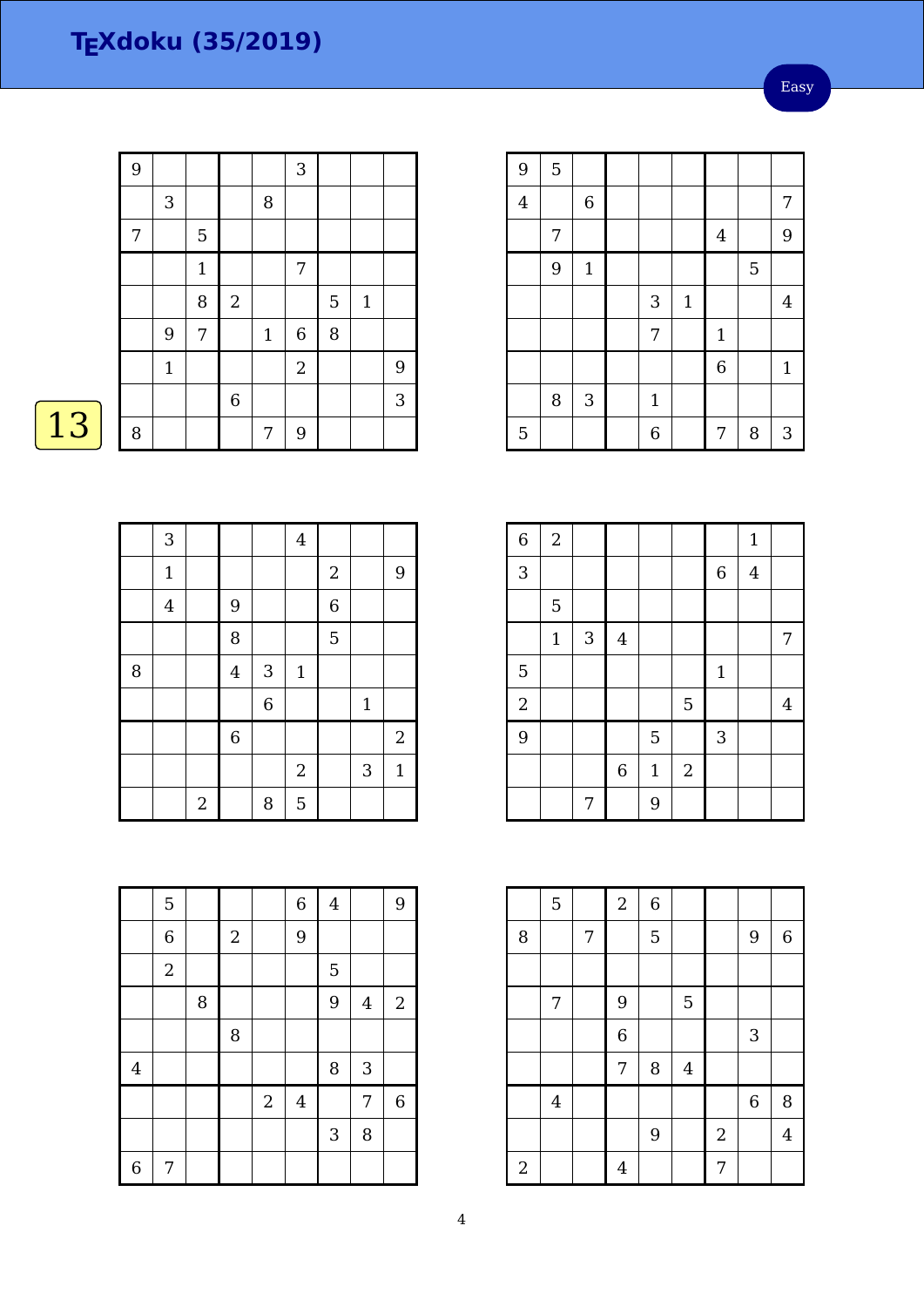| 3     | $\mathbf 5$<br>$1\,$ |                | 8           | 3              |   |              |   |
|-------|----------------------|----------------|-------------|----------------|---|--------------|---|
|       |                      |                |             |                |   |              |   |
|       |                      |                |             |                |   |              |   |
|       |                      |                |             |                |   |              |   |
|       |                      |                |             | 7              |   |              |   |
|       | 8                    | $\sqrt{2}$     |             |                | 5 | $\mathbf{1}$ |   |
| 9     | 7                    |                | $\mathbf 1$ | $\overline{6}$ | 8 |              |   |
| $1\,$ |                      |                |             | $\overline{2}$ |   |              | 9 |
|       |                      | $\overline{6}$ |             |                |   |              | 3 |
|       |                      |                | 7           | 9              |   |              |   |
|       |                      |                |             |                |   |              |   |

 $\boxed{13}$ 

| 9              | $\mathbf 5$ |                  |              |              |                  |   |              |
|----------------|-------------|------------------|--------------|--------------|------------------|---|--------------|
| $\overline{4}$ |             | $\boldsymbol{6}$ |              |              |                  |   | 7            |
|                | 7           |                  |              |              | $\overline{4}$   |   | $9$          |
|                | 9           | $\mathbf{1}$     |              |              |                  | 5 |              |
|                |             |                  | 3            | $\mathbf{1}$ |                  |   | 4            |
|                |             |                  | 7            |              | $\mathbf{1}$     |   |              |
|                |             |                  |              |              | $\boldsymbol{6}$ |   | $\mathbf{1}$ |
|                | 8           | $\mathbf{3}$     | $\mathbf{1}$ |              |                  |   |              |
| 5              |             |                  | 6            |              | 7                | 8 | 3            |

|   | 3              |                |                |                | $\overline{4}$ |                |             |                |
|---|----------------|----------------|----------------|----------------|----------------|----------------|-------------|----------------|
|   | $\mathbf{1}$   |                |                |                |                | $\sqrt{2}$     |             | $\overline{9}$ |
|   | $\overline{4}$ |                | 9              |                |                | $\overline{6}$ |             |                |
|   |                |                | 8              |                |                | 5              |             |                |
| 8 |                |                | $\overline{4}$ | 3              | $\mathbf{1}$   |                |             |                |
|   |                |                |                | $\overline{6}$ |                |                | $\mathbf 1$ |                |
|   |                |                | $\overline{6}$ |                |                |                |             | $\sqrt{2}$     |
|   |                |                |                |                | $\overline{2}$ |                | 3           | $\mathbf{1}$   |
|   |                | $\overline{c}$ |                | 8              | 5              |                |             |                |

| 6          | $\sqrt{2}$ |   |                |              |                |              | $\mathbf{1}$   |   |
|------------|------------|---|----------------|--------------|----------------|--------------|----------------|---|
| 3          |            |   |                |              |                | $\,$ 6 $\,$  | $\overline{4}$ |   |
|            | 5          |   |                |              |                |              |                |   |
|            | $1\,$      | 3 | $\overline{4}$ |              |                |              |                | 7 |
| 5          |            |   |                |              |                | $\mathbf{1}$ |                |   |
| $\sqrt{2}$ |            |   |                |              | $\overline{5}$ |              |                | 4 |
| 9          |            |   |                | 5            |                | $\sqrt{3}$   |                |   |
|            |            |   | $\overline{6}$ | $\mathbf{1}$ | $\overline{2}$ |              |                |   |
|            |            | 7 |                | 9            |                |              |                |   |

|                | 5       |   | $\overline{a}$ | $\overline{6}$ |         |                  |                  |                  |
|----------------|---------|---|----------------|----------------|---------|------------------|------------------|------------------|
| 8              |         | 7 |                | 5              |         |                  | 9                | $\boldsymbol{6}$ |
|                |         |   |                |                |         |                  |                  |                  |
|                | 7       |   | 9              |                | 5       |                  |                  |                  |
|                |         |   | $\overline{6}$ |                |         |                  | 3                |                  |
|                |         |   | 7              | 8              | $\bf 4$ |                  |                  |                  |
|                | $\bf 4$ |   |                |                |         |                  | $\boldsymbol{6}$ | 8                |
|                |         |   |                | 9              |         | $\boldsymbol{2}$ |                  | $\overline{4}$   |
| $\overline{a}$ |         |   | $\overline{4}$ |                |         | 7                |                  |                  |

|                         | 5              |   |                  |                | $\overline{6}$ | $\overline{4}$            |         | 9           |
|-------------------------|----------------|---|------------------|----------------|----------------|---------------------------|---------|-------------|
|                         | $\overline{6}$ |   | $\boldsymbol{2}$ |                | 9              |                           |         |             |
|                         | $\sqrt{2}$     |   |                  |                |                | 5                         |         |             |
|                         |                | 8 |                  |                |                | 9                         | $\bf 4$ | $\sqrt{2}$  |
|                         |                |   | 8                |                |                |                           |         |             |
| $\overline{\mathbf{4}}$ |                |   |                  |                |                | 8                         | 3       |             |
|                         |                |   |                  | $\overline{2}$ | $\overline{4}$ |                           | 7       | $\,$ 6 $\,$ |
|                         |                |   |                  |                |                | $\ensuremath{\mathsf{3}}$ | 8       |             |
| $\overline{6}$          | 7              |   |                  |                |                |                           |         |             |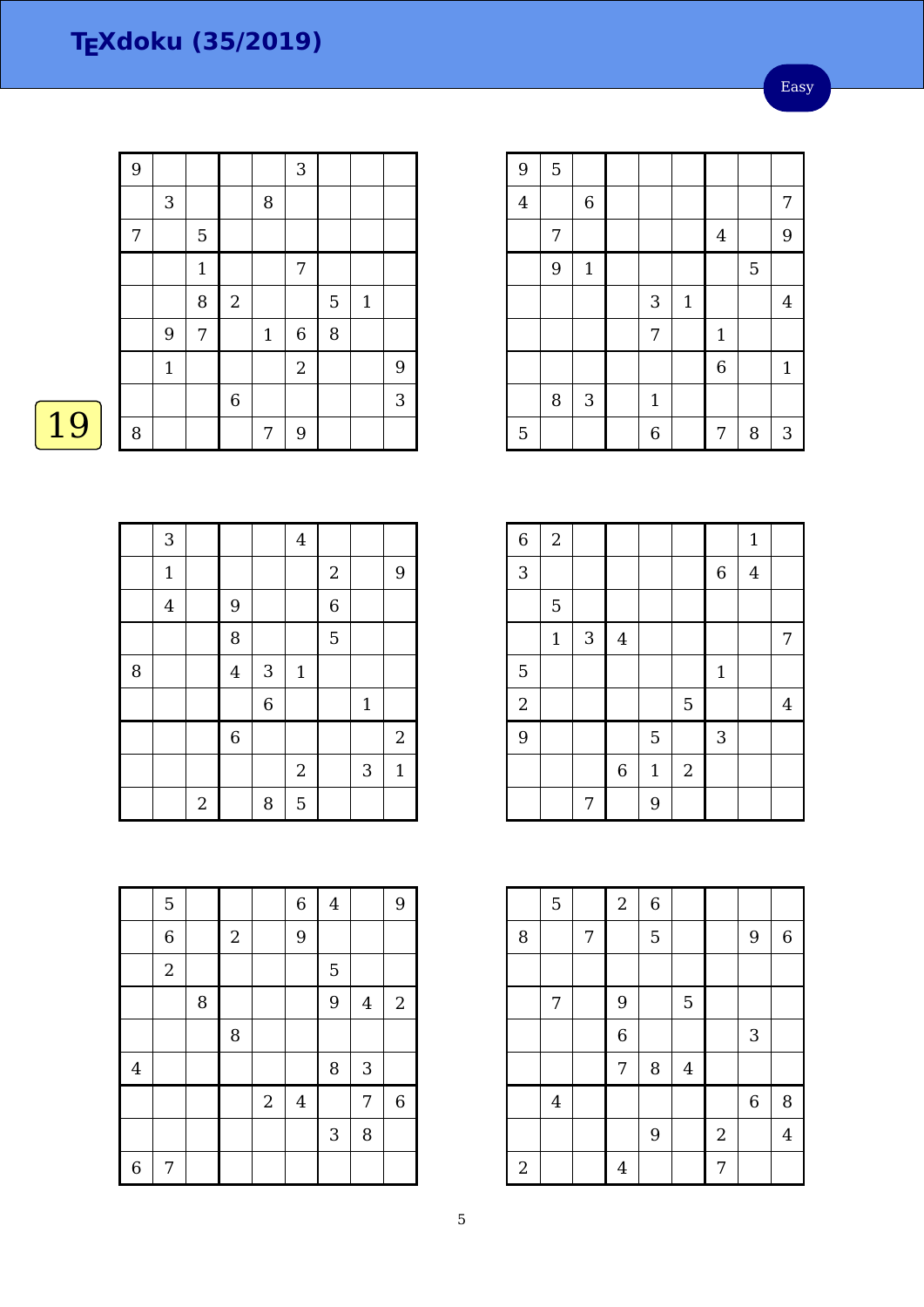|    | 9 |              |              |                  |             | 3              |   |              |   |
|----|---|--------------|--------------|------------------|-------------|----------------|---|--------------|---|
|    |   | $\mathbf{3}$ |              |                  | 8           |                |   |              |   |
|    | 7 |              | 5            |                  |             |                |   |              |   |
|    |   |              | $\mathbf{1}$ |                  |             | 7              |   |              |   |
|    |   |              | 8            | $\boldsymbol{2}$ |             |                | 5 | $\mathbf{1}$ |   |
|    |   | 9            | 7            |                  | $\mathbf 1$ | 6              | 8 |              |   |
|    |   | $\mathbf{1}$ |              |                  |             | $\overline{2}$ |   |              | 9 |
|    |   |              |              | 6                |             |                |   |              | 3 |
| 19 | 8 |              |              |                  | 7           | 9              |   |              |   |

 $|$   $|$   $|$   $|$  4

 $431$ 

9 6

 $2 \mid 8 \mid 5$ 

1 | | | | | | | 9

8 | | | 5

6 1

6 | | | | | | 2

 $2 \mid 3 \mid 1$ 

| 9              | 5 |                |              |       |                |   |              |
|----------------|---|----------------|--------------|-------|----------------|---|--------------|
| $\overline{4}$ |   | $\overline{6}$ |              |       |                |   | 7            |
|                | 7 |                |              |       | $\bf 4$        |   | 9            |
|                | 9 | $\mathbf 1$    |              |       |                | 5 |              |
|                |   |                | 3            | $1\,$ |                |   | 4            |
|                |   |                | 7            |       | $\mathbf{1}$   |   |              |
|                |   |                |              |       | $\overline{6}$ |   | $\mathbf{1}$ |
|                | 8 | 3              | $\mathbf{1}$ |       |                |   |              |
| 5              |   |                | 6            |       | 7              | 8 | 3            |

| $\overline{6}$ | $\sqrt{2}$   |                           |                |              |                |              | $\mathbf{1}$ |   |
|----------------|--------------|---------------------------|----------------|--------------|----------------|--------------|--------------|---|
| 3              |              |                           |                |              |                | $\,$ 6 $\,$  | $\bf 4$      |   |
|                | 5            |                           |                |              |                |              |              |   |
|                | $\mathbf{1}$ | $\ensuremath{\mathsf{3}}$ | $\overline{4}$ |              |                |              |              | 7 |
| 5              |              |                           |                |              |                | $\mathbf{1}$ |              |   |
| $\overline{c}$ |              |                           |                |              | $\overline{5}$ |              |              | 4 |
| 9              |              |                           |                | 5            |                | 3            |              |   |
|                |              |                           | $\,$ 6 $\,$    | $\mathbf{1}$ | $\sqrt{2}$     |              |              |   |
|                |              | 7                         |                | 9            |                |              |              |   |

|                | $\mathbf 5$    |   |            |            | $\overline{6}$ | $\overline{4}$ |                | 9          |
|----------------|----------------|---|------------|------------|----------------|----------------|----------------|------------|
|                | $\overline{6}$ |   | $\sqrt{2}$ |            | 9              |                |                |            |
|                | $\overline{2}$ |   |            |            |                | 5              |                |            |
|                |                | 8 |            |            |                | 9              | $\overline{4}$ | $\sqrt{2}$ |
|                |                |   | 8          |            |                |                |                |            |
| $\overline{4}$ |                |   |            |            |                | 8              | $\mathbf{3}$   |            |
|                |                |   |            | $\sqrt{2}$ | $\bf 4$        |                | 7              | $\,6\,$    |
|                |                |   |            |            |                | 3              | 8              |            |
| $\overline{6}$ | 7              |   |            |            |                |                |                |            |

|                | $\overline{5}$ |   | $\sqrt{2}$     | $\overline{6}$ |                |                  |                  |                |
|----------------|----------------|---|----------------|----------------|----------------|------------------|------------------|----------------|
| 8              |                | 7 |                | 5              |                |                  | 9                | 6              |
|                |                |   |                |                |                |                  |                  |                |
|                | 7              |   | 9              |                | 5              |                  |                  |                |
|                |                |   | $\overline{6}$ |                |                |                  | 3                |                |
|                |                |   | 7              | 8              | $\overline{4}$ |                  |                  |                |
|                | $\bf 4$        |   |                |                |                |                  | $\boldsymbol{6}$ | 8              |
|                |                |   |                | 9              |                | $\boldsymbol{2}$ |                  | $\overline{4}$ |
| $\overline{2}$ |                |   | $\overline{4}$ |                |                | 7                |                  |                |

Easy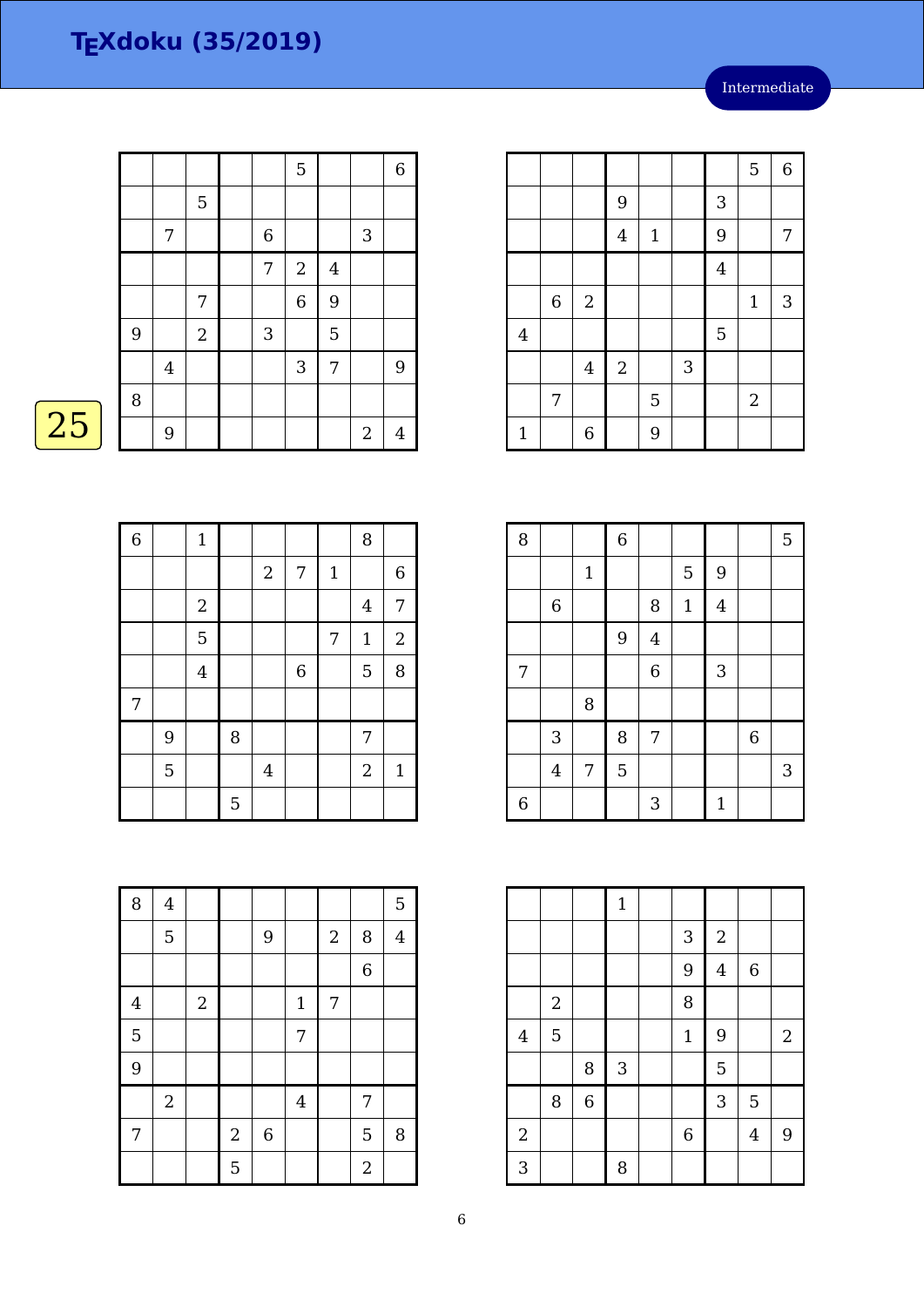$5 \mid 6$ 

 $3$ 

6 2 | | | | | 1 | 3

4 | | | | | | 5

 $1 \mid 6 \mid 9$ 

 $4 \mid 2 \mid 3$ 

7 | | | 5 | | | | 2

8 | | | 6 | | | | | | 5

 $4 \mid 1 \mid 9 \mid 7$ 

|    |   |                |            |             | 5          |   |            | $6\,$            |
|----|---|----------------|------------|-------------|------------|---|------------|------------------|
|    |   |                | 5          |             |            |   |            |                  |
|    |   | 7              |            | $\,$ 6 $\,$ |            |   | 3          |                  |
|    |   |                |            | 7           | $\sqrt{2}$ | 4 |            |                  |
|    |   |                | 7          |             | 6          | 9 |            |                  |
|    | 9 |                | $\sqrt{2}$ | $\sqrt{3}$  |            | 5 |            |                  |
|    |   | $\overline{4}$ |            |             | $\sqrt{3}$ | 7 |            | $\boldsymbol{9}$ |
|    | 8 |                |            |             |            |   |            |                  |
| 25 |   | 9              |            |             |            |   | $\sqrt{2}$ | 4                |

| $\overline{6}$ |   | $1\,$          |             |                  |                |             | 8              |                  |
|----------------|---|----------------|-------------|------------------|----------------|-------------|----------------|------------------|
|                |   |                |             | $\boldsymbol{2}$ | 7              | $\mathbf 1$ |                | $\boldsymbol{6}$ |
|                |   | $\sqrt{2}$     |             |                  |                |             | $\overline{4}$ | $\sqrt{ }$       |
|                |   | 5              |             |                  |                | 7           | $\mathbf{1}$   | $\sqrt{2}$       |
|                |   | $\overline{4}$ |             |                  | $\overline{6}$ |             | 5              | 8                |
| 7              |   |                |             |                  |                |             |                |                  |
|                | 9 |                | 8           |                  |                |             | 7              |                  |
|                | 5 |                |             | $\overline{4}$   |                |             | $\overline{2}$ | $\mathbf{1}$     |
|                |   |                | $\mathbf 5$ |                  |                |             |                |                  |

|   |                | $\mathbf{1}$ |   |                | 5            | 9            |                  |   |
|---|----------------|--------------|---|----------------|--------------|--------------|------------------|---|
|   | $\,$ 6 $\,$    |              |   | 8              | $\mathbf{1}$ | $\bf 4$      |                  |   |
|   |                |              | 9 | $\overline{4}$ |              |              |                  |   |
| 7 |                |              |   | $\overline{6}$ |              | $\sqrt{3}$   |                  |   |
|   |                | 8            |   |                |              |              |                  |   |
|   | 3              |              | 8 | 7              |              |              | $\boldsymbol{6}$ |   |
|   | $\overline{4}$ | 7            | 5 |                |              |              |                  | 3 |
| 6 |                |              |   | 3              |              | $\mathbf{1}$ |                  |   |

|                |                |                | $\mathbf 1$ |              |                         |                  |       |
|----------------|----------------|----------------|-------------|--------------|-------------------------|------------------|-------|
|                |                |                |             | $\mathbf{3}$ | $\sqrt{2}$              |                  |       |
|                |                |                |             | 9            | $\overline{\mathbf{4}}$ | $\boldsymbol{6}$ |       |
|                | $\overline{2}$ |                |             | 8            |                         |                  |       |
| $\overline{4}$ | 5              |                |             | $\mathbf{1}$ | 9                       |                  | $2\,$ |
|                |                | 8              | 3           |              | 5                       |                  |       |
|                | 8              | $\overline{6}$ |             |              | 3                       | 5                |       |
| $\overline{c}$ |                |                |             | $\,$ 6 $\,$  |                         | $\overline{4}$   | 9     |
| 3              |                |                | 8           |              |                         |                  |       |

| 8                       | $\bf 4$        |            |            |         |                |                  |                  | 5              |
|-------------------------|----------------|------------|------------|---------|----------------|------------------|------------------|----------------|
|                         | 5              |            |            | 9       |                | $\overline{2}$   | 8                | $\overline{4}$ |
|                         |                |            |            |         |                |                  | $\overline{6}$   |                |
| $\overline{\mathbf{4}}$ |                | $\sqrt{2}$ |            |         | $\mathbf 1$    | $\boldsymbol{7}$ |                  |                |
| $\overline{5}$          |                |            |            |         | 7              |                  |                  |                |
| 9                       |                |            |            |         |                |                  |                  |                |
|                         | $\overline{2}$ |            |            |         | $\overline{4}$ |                  | 7                |                |
| 7                       |                |            | $\sqrt{2}$ | $\,6\,$ |                |                  | 5                | 8              |
|                         |                |            | 5          |         |                |                  | $\boldsymbol{2}$ |                |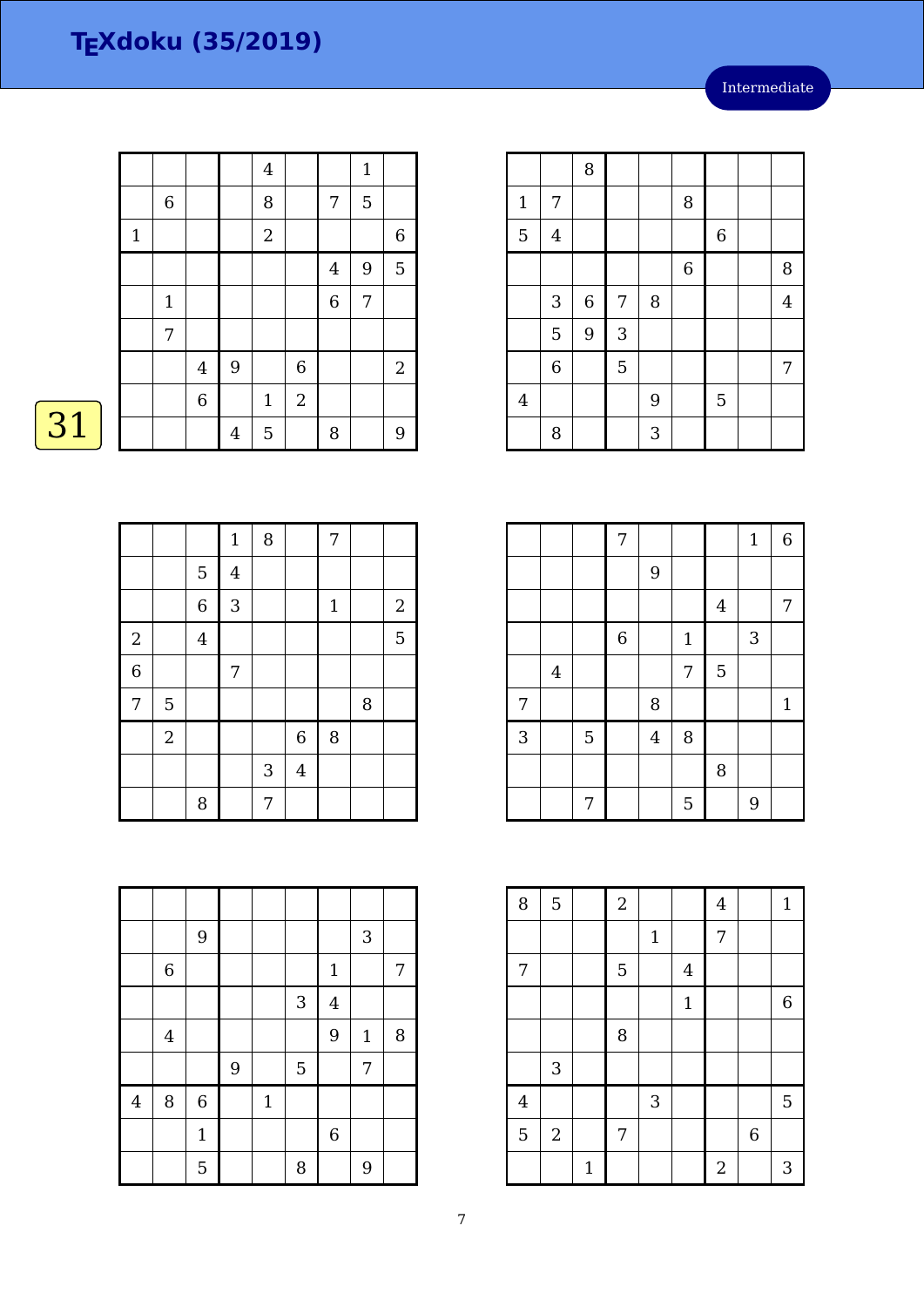|    |              |             |                |                | $\overline{4}$   |              |                  | $\mathbf{1}$ |                |
|----|--------------|-------------|----------------|----------------|------------------|--------------|------------------|--------------|----------------|
|    |              | $\,6\,$     |                |                | 8                |              | 7                | 5            |                |
|    | $\mathbf{1}$ |             |                |                | $\boldsymbol{2}$ |              |                  |              | $6\,$          |
|    |              |             |                |                |                  |              | 4                | 9            | $\overline{5}$ |
|    |              | $\mathbf 1$ |                |                |                  |              | $\boldsymbol{6}$ | 7            |                |
|    |              | 7           |                |                |                  |              |                  |              |                |
|    |              |             | $\overline{4}$ | 9              |                  | $\,$ 6 $\,$  |                  |              | $\overline{2}$ |
|    |              |             | $\overline{6}$ |                | $1\,$            | $\mathbf{2}$ |                  |              |                |
| 31 |              |             |                | $\overline{4}$ | $\overline{5}$   |              | 8                |              | 9              |

| ٠ |  |
|---|--|
|   |  |

|                |                |                | $\mathbf 1$             | 8          |                | $\overline{7}$ |        |              |
|----------------|----------------|----------------|-------------------------|------------|----------------|----------------|--------|--------------|
|                |                | $\mathbf 5$    | $\overline{\mathbf{4}}$ |            |                |                |        |              |
|                |                | 6              | 3                       |            |                | $\mathbf 1$    |        | $\mathbf{2}$ |
| $\overline{2}$ |                | $\overline{4}$ |                         |            |                |                |        | 5            |
| $\overline{6}$ |                |                | 7                       |            |                |                |        |              |
| $\overline{7}$ | 5              |                |                         |            |                |                | $\, 8$ |              |
|                | $\overline{2}$ |                |                         |            | $\,$ 6 $\,$    | 8              |        |              |
|                |                |                |                         | $\sqrt{3}$ | $\overline{4}$ |                |        |              |
|                |                | 8              |                         | 7          |                |                |        |              |

|                         |                | 9            |   |             |              |                  | 3            |   |
|-------------------------|----------------|--------------|---|-------------|--------------|------------------|--------------|---|
|                         | $\,6$          |              |   |             |              | $\mathbf{1}$     |              | 7 |
|                         |                |              |   |             | $\mathbf{3}$ | $\overline{4}$   |              |   |
|                         | $\overline{4}$ |              |   |             |              | 9                | $\mathbf{1}$ | 8 |
|                         |                |              | 9 |             | 5            |                  | 7            |   |
| $\overline{\mathbf{4}}$ | 8              | $\,6$        |   | $\mathbf 1$ |              |                  |              |   |
|                         |                | $\mathbf{1}$ |   |             |              | $\boldsymbol{6}$ |              |   |
|                         |                | 5            |   |             | 8            |                  | 9            |   |

|                |                         | 8     |                |   |                |         |                |
|----------------|-------------------------|-------|----------------|---|----------------|---------|----------------|
| $\mathbf 1$    | 7                       |       |                |   | 8              |         |                |
| 5              | $\overline{\mathbf{4}}$ |       |                |   |                | $\,6\,$ |                |
|                |                         |       |                |   | $\overline{6}$ |         | 8              |
|                | 3                       | $\,6$ | 7              | 8 |                |         | $\overline{4}$ |
|                | 5                       | 9     | 3              |   |                |         |                |
|                | $\overline{6}$          |       | $\overline{5}$ |   |                |         | 7              |
| $\overline{4}$ |                         |       |                | 9 |                | 5       |                |
|                | 8                       |       |                | 3 |                |         |                |

|   |                |   | 7              |                |             |         | $1\,$ | 6            |
|---|----------------|---|----------------|----------------|-------------|---------|-------|--------------|
|   |                |   |                | 9              |             |         |       |              |
|   |                |   |                |                |             | $\bf 4$ |       | 7            |
|   |                |   | $\overline{6}$ |                | $\mathbf 1$ |         | 3     |              |
|   | $\overline{4}$ |   |                |                | 7           | 5       |       |              |
| 7 |                |   |                | 8              |             |         |       | $\mathbf{1}$ |
| 3 |                | 5 |                | $\overline{4}$ | 8           |         |       |              |
|   |                |   |                |                |             | 8       |       |              |
|   |                | 7 |                |                | 5           |         | 9     |              |

| 8              | $\overline{5}$ |              | $\overline{a}$ |       |                | $\overline{4}$ |                  | $\mathbf{1}$ |
|----------------|----------------|--------------|----------------|-------|----------------|----------------|------------------|--------------|
|                |                |              |                | $1\,$ |                | 7              |                  |              |
| 7              |                |              | 5              |       | $\overline{4}$ |                |                  |              |
|                |                |              |                |       | $\mathbf{1}$   |                |                  | $\,$ 6 $\,$  |
|                |                |              | 8              |       |                |                |                  |              |
|                | $\sqrt{3}$     |              |                |       |                |                |                  |              |
| $\overline{4}$ |                |              |                | 3     |                |                |                  | 5            |
| 5              | $\sqrt{2}$     |              | 7              |       |                |                | $\boldsymbol{6}$ |              |
|                |                | $\mathbf{1}$ |                |       |                | $\overline{2}$ |                  | 3            |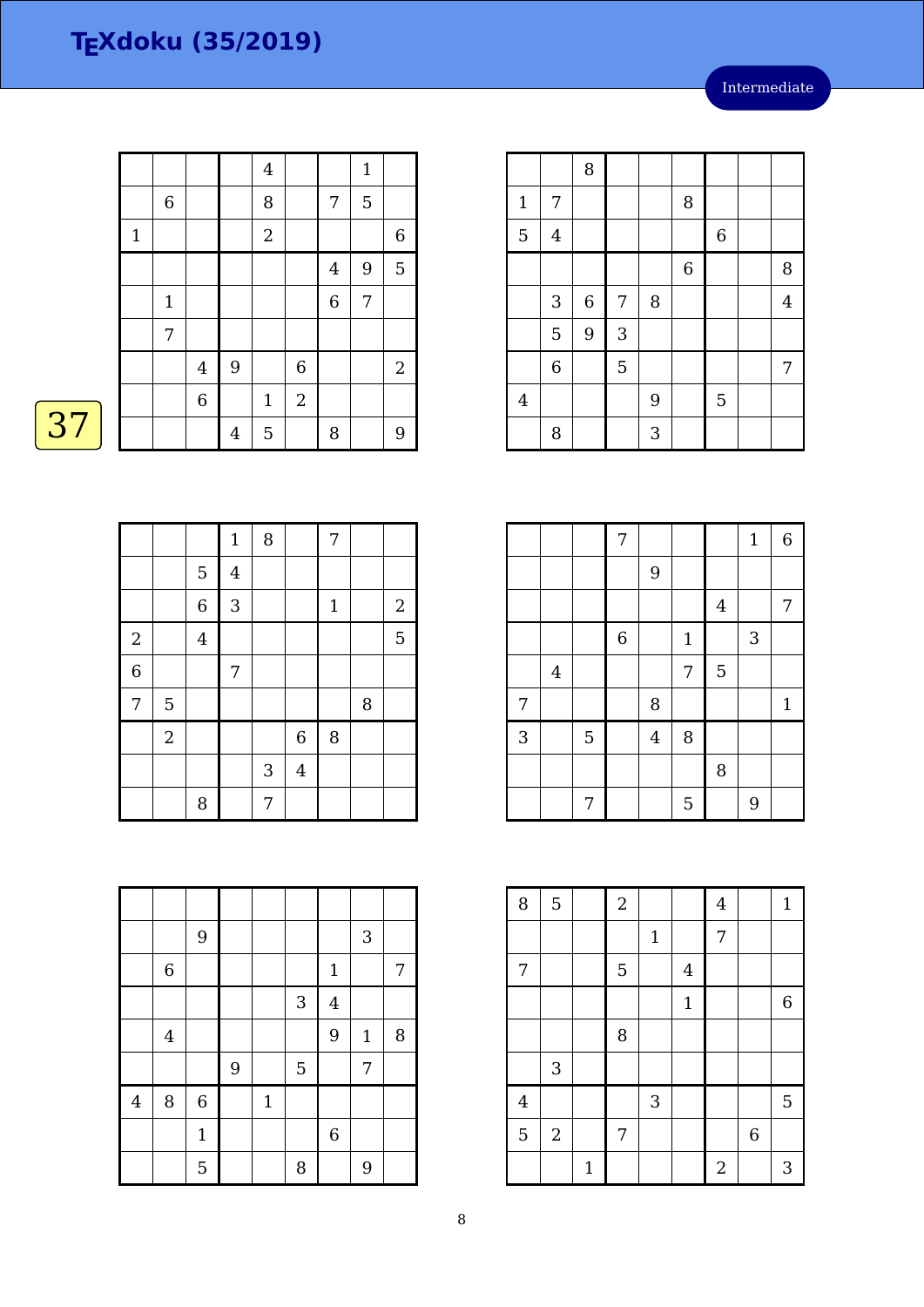|    |              |             |                |                | $\overline{\mathbf{4}}$ |                |                  | $\mathbf{1}$   |                |
|----|--------------|-------------|----------------|----------------|-------------------------|----------------|------------------|----------------|----------------|
|    |              | $\,6\,$     |                |                | $\, 8$                  |                | 7                | 5              |                |
|    | $\mathbf{1}$ |             |                |                | $\boldsymbol{2}$        |                |                  |                | $6\,$          |
|    |              |             |                |                |                         |                | 4                | $\overline{9}$ | $\overline{5}$ |
|    |              | $\mathbf 1$ |                |                |                         |                | $\boldsymbol{6}$ | 7              |                |
|    |              | 7           |                |                |                         |                |                  |                |                |
|    |              |             | $\overline{4}$ | 9              |                         | $\,$ 6 $\,$    |                  |                | 2              |
|    |              |             | 6              |                | $\mathbf 1$             | $\overline{2}$ |                  |                |                |
| 37 |              |             |                | $\overline{4}$ | $\mathbf 5$             |                | 8                |                | 9              |

|                |                |                | $\mathbf 1$    | 8 |                | $\overline{7}$ |   |            |
|----------------|----------------|----------------|----------------|---|----------------|----------------|---|------------|
|                |                | $\overline{5}$ | $\overline{4}$ |   |                |                |   |            |
|                |                | $\overline{6}$ | 3              |   |                | $1\,$          |   | $\sqrt{2}$ |
| $\sqrt{2}$     |                | $\overline{4}$ |                |   |                |                |   | 5          |
| $\overline{6}$ |                |                | 7              |   |                |                |   |            |
| 7              | 5              |                |                |   |                |                | 8 |            |
|                | $\overline{2}$ |                |                |   | $\overline{6}$ | 8              |   |            |
|                |                |                |                | 3 | $\overline{4}$ |                |   |            |
|                |                | 8              |                | 7 |                |                |   |            |

|                         |         | 9            |       |             |            |                | 3           |                  |
|-------------------------|---------|--------------|-------|-------------|------------|----------------|-------------|------------------|
|                         | $\,6\,$ |              |       |             |            | $\mathbf{1}$   |             | $\boldsymbol{7}$ |
|                         |         |              |       |             | $\sqrt{3}$ | $\overline{4}$ |             |                  |
|                         | $\bf 4$ |              |       |             |            | 9              | $\mathbf 1$ | 8                |
|                         |         |              | $9\,$ |             | 5          |                | 7           |                  |
| $\overline{\mathbf{4}}$ | $\, 8$  | $\,$ 6 $\,$  |       | $\mathbf 1$ |            |                |             |                  |
|                         |         | $\mathbf{1}$ |       |             |            | $\overline{6}$ |             |                  |
|                         |         | 5            |       |             | 8          |                | 9           |                  |

|                |                | 8                |                |   |             |             |                |
|----------------|----------------|------------------|----------------|---|-------------|-------------|----------------|
| $\mathbf{1}$   | 7              |                  |                |   | 8           |             |                |
| $\overline{5}$ | $\overline{4}$ |                  |                |   |             | $\,$ 6 $\,$ |                |
|                |                |                  |                |   | $\,$ 6 $\,$ |             | 8              |
|                | $\sqrt{3}$     | $\boldsymbol{6}$ | 7              | 8 |             |             | $\overline{4}$ |
|                | 5              | 9                | 3              |   |             |             |                |
|                | $\overline{6}$ |                  | $\overline{5}$ |   |             |             | $\overline{7}$ |
| $\overline{4}$ |                |                  |                | 9 |             | 5           |                |
|                | 8              |                  |                | 3 |             |             |                |

|   |                |                | $\boldsymbol{7}$ |                |              |         | $\mathbf{1}$ | 6            |
|---|----------------|----------------|------------------|----------------|--------------|---------|--------------|--------------|
|   |                |                |                  | 9              |              |         |              |              |
|   |                |                |                  |                |              | $\bf 4$ |              | 7            |
|   |                |                | $\overline{6}$   |                | $\mathbf{1}$ |         | 3            |              |
|   | $\overline{4}$ |                |                  |                | 7            | 5       |              |              |
| 7 |                |                |                  | 8              |              |         |              | $\mathbf{1}$ |
| 3 |                | $\overline{5}$ |                  | $\overline{4}$ | 8            |         |              |              |
|   |                |                |                  |                |              | 8       |              |              |
|   |                | 7              |                  |                | 5            |         | 9            |              |

| 8              | $\overline{5}$            |              | $\sqrt{2}$ |             |                | $\bf 4$        |   | $\mathbf{1}$     |
|----------------|---------------------------|--------------|------------|-------------|----------------|----------------|---|------------------|
|                |                           |              |            | $\mathbf 1$ |                | $\overline{7}$ |   |                  |
| 7              |                           |              | 5          |             | $\overline{4}$ |                |   |                  |
|                |                           |              |            |             | $\mathbf{1}$   |                |   | $\boldsymbol{6}$ |
|                |                           |              | 8          |             |                |                |   |                  |
|                | $\ensuremath{\mathsf{3}}$ |              |            |             |                |                |   |                  |
| $\overline{4}$ |                           |              |            | 3           |                |                |   | 5                |
| 5              | $\sqrt{2}$                |              | 7          |             |                |                | 6 |                  |
|                |                           | $\mathbf{1}$ |            |             |                | $\overline{2}$ |   | 3                |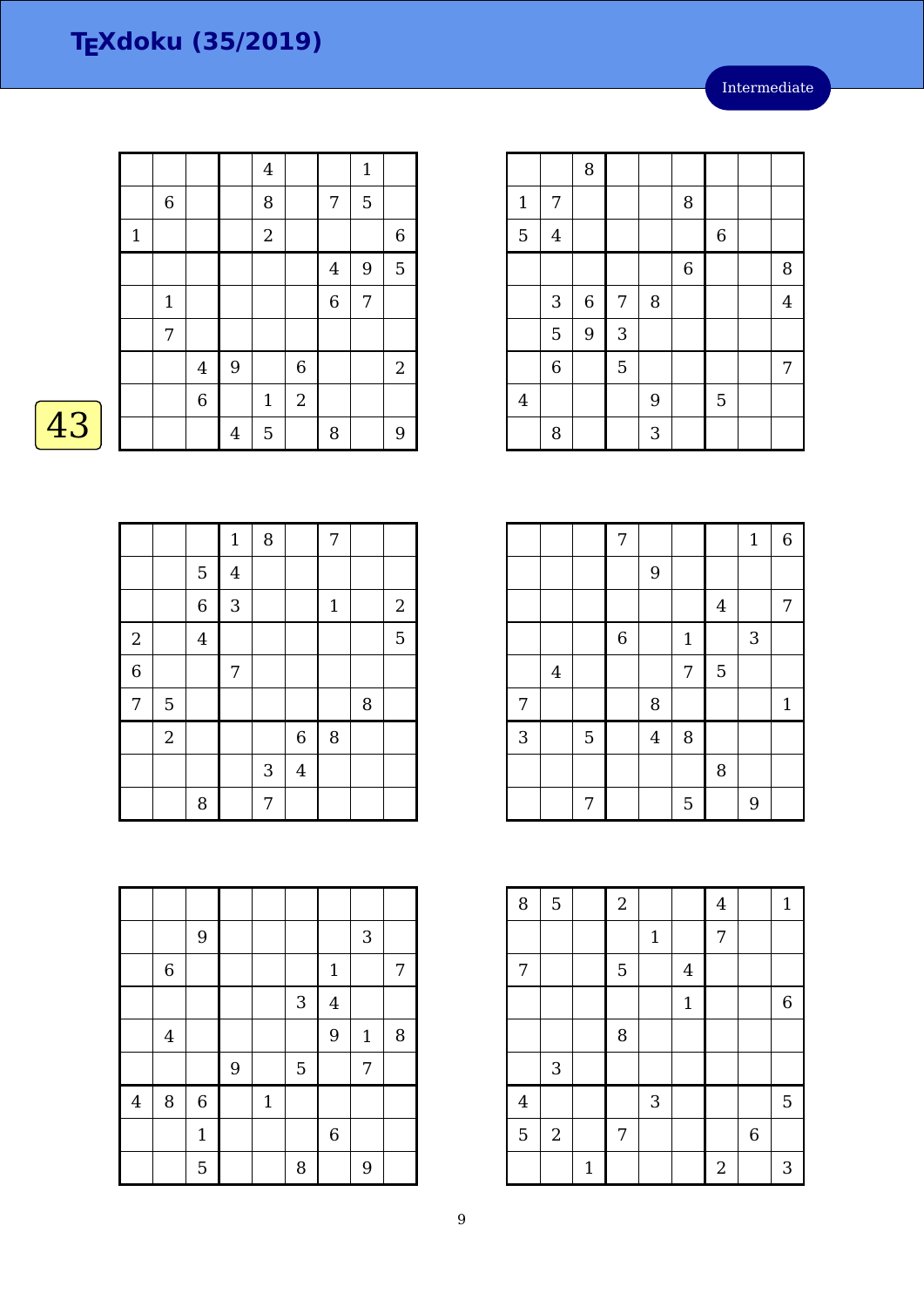|    |       |             |                  |                | $\overline{4}$   |                |                  | $\mathbf{1}$ |                |
|----|-------|-------------|------------------|----------------|------------------|----------------|------------------|--------------|----------------|
|    |       | $\,6\,$     |                  |                | $\, 8$           |                | 7                | 5            |                |
|    | $1\,$ |             |                  |                | $\boldsymbol{2}$ |                |                  |              | $6\,$          |
|    |       |             |                  |                |                  |                | 4                | 9            | $\overline{5}$ |
|    |       | $\mathbf 1$ |                  |                |                  |                | $\boldsymbol{6}$ | 7            |                |
|    |       | 7           |                  |                |                  |                |                  |              |                |
|    |       |             | $\overline{4}$   | 9              |                  | $\,$ 6 $\,$    |                  |              | 2              |
|    |       |             | $\boldsymbol{6}$ |                | $\mathbf 1$      | $\overline{2}$ |                  |              |                |
| 43 |       |             |                  | $\overline{4}$ | 5                |                | 8                |              | 9              |

| Λ |  |
|---|--|
|   |  |

|                |                |                | $\mathbf{1}$   | 8          |                | $\overline{7}$ |   |              |
|----------------|----------------|----------------|----------------|------------|----------------|----------------|---|--------------|
|                |                | $\mathbf 5$    | $\overline{4}$ |            |                |                |   |              |
|                |                | $\overline{6}$ | 3              |            |                | $\mathbf 1$    |   | $\mathbf{2}$ |
| $\sqrt{2}$     |                | $\bf 4$        |                |            |                |                |   | 5            |
| $\overline{6}$ |                |                | 7              |            |                |                |   |              |
| 7              | 5              |                |                |            |                |                | 8 |              |
|                | $\overline{a}$ |                |                |            | $\,$ 6 $\,$    | 8              |   |              |
|                |                |                |                | $\sqrt{3}$ | $\overline{4}$ |                |   |              |
|                |                | 8              |                | 7          |                |                |   |              |

|                         |                | 9            |   |             |              |                | 3            |   |
|-------------------------|----------------|--------------|---|-------------|--------------|----------------|--------------|---|
|                         | $\,6\,$        |              |   |             |              | $\mathbf{1}$   |              | 7 |
|                         |                |              |   |             | $\mathbf{3}$ | $\overline{4}$ |              |   |
|                         | $\overline{4}$ |              |   |             |              | 9              | $\mathbf{1}$ | 8 |
|                         |                |              | 9 |             | 5            |                | 7            |   |
| $\overline{\mathbf{4}}$ | 8              | $\,$ 6 $\,$  |   | $\mathbf 1$ |              |                |              |   |
|                         |                | $\mathbf{1}$ |   |             |              | $\overline{6}$ |              |   |
|                         |                | 5            |   |             | 8            |                | 9            |   |

|                |                | 8       |   |   |                |             |                |
|----------------|----------------|---------|---|---|----------------|-------------|----------------|
| $\mathbf{1}$   | 7              |         |   |   | 8              |             |                |
| 5              | $\overline{4}$ |         |   |   |                | $\,$ 6 $\,$ |                |
|                |                |         |   |   | $\overline{6}$ |             | 8              |
|                | 3              | $\,6\,$ | 7 | 8 |                |             | $\overline{4}$ |
|                | 5              | 9       | 3 |   |                |             |                |
|                | $\,$ 6 $\,$    |         | 5 |   |                |             | 7              |
| $\overline{4}$ |                |         |   | 9 |                | 5           |                |
|                | 8              |         |   | 3 |                |             |                |

|   |                |   | 7              |                |              |             | $1\,$ | 6           |
|---|----------------|---|----------------|----------------|--------------|-------------|-------|-------------|
|   |                |   |                | 9              |              |             |       |             |
|   |                |   |                |                |              | $\bf 4$     |       | 7           |
|   |                |   | $\overline{6}$ |                | $\mathbf{1}$ |             | 3     |             |
|   | $\overline{4}$ |   |                |                | 7            | $\mathbf 5$ |       |             |
| 7 |                |   |                | 8              |              |             |       | $\mathbf 1$ |
| 3 |                | 5 |                | $\overline{4}$ | 8            |             |       |             |
|   |                |   |                |                |              | 8           |       |             |
|   |                | 7 |                |                | 5            |             | 9     |             |

| 8              | $\overline{5}$ |              | $\overline{a}$ |       |                | $\overline{4}$   |                  | $\mathbf{1}$ |
|----------------|----------------|--------------|----------------|-------|----------------|------------------|------------------|--------------|
|                |                |              |                | $1\,$ |                | 7                |                  |              |
| 7              |                |              | 5              |       | $\overline{4}$ |                  |                  |              |
|                |                |              |                |       | $\mathbf{1}$   |                  |                  | $\,$ 6 $\,$  |
|                |                |              | 8              |       |                |                  |                  |              |
|                | 3              |              |                |       |                |                  |                  |              |
| $\overline{4}$ |                |              |                | 3     |                |                  |                  | 5            |
| 5              | $\sqrt{2}$     |              | 7              |       |                |                  | $\boldsymbol{6}$ |              |
|                |                | $\mathbf{1}$ |                |       |                | $\boldsymbol{2}$ |                  | 3            |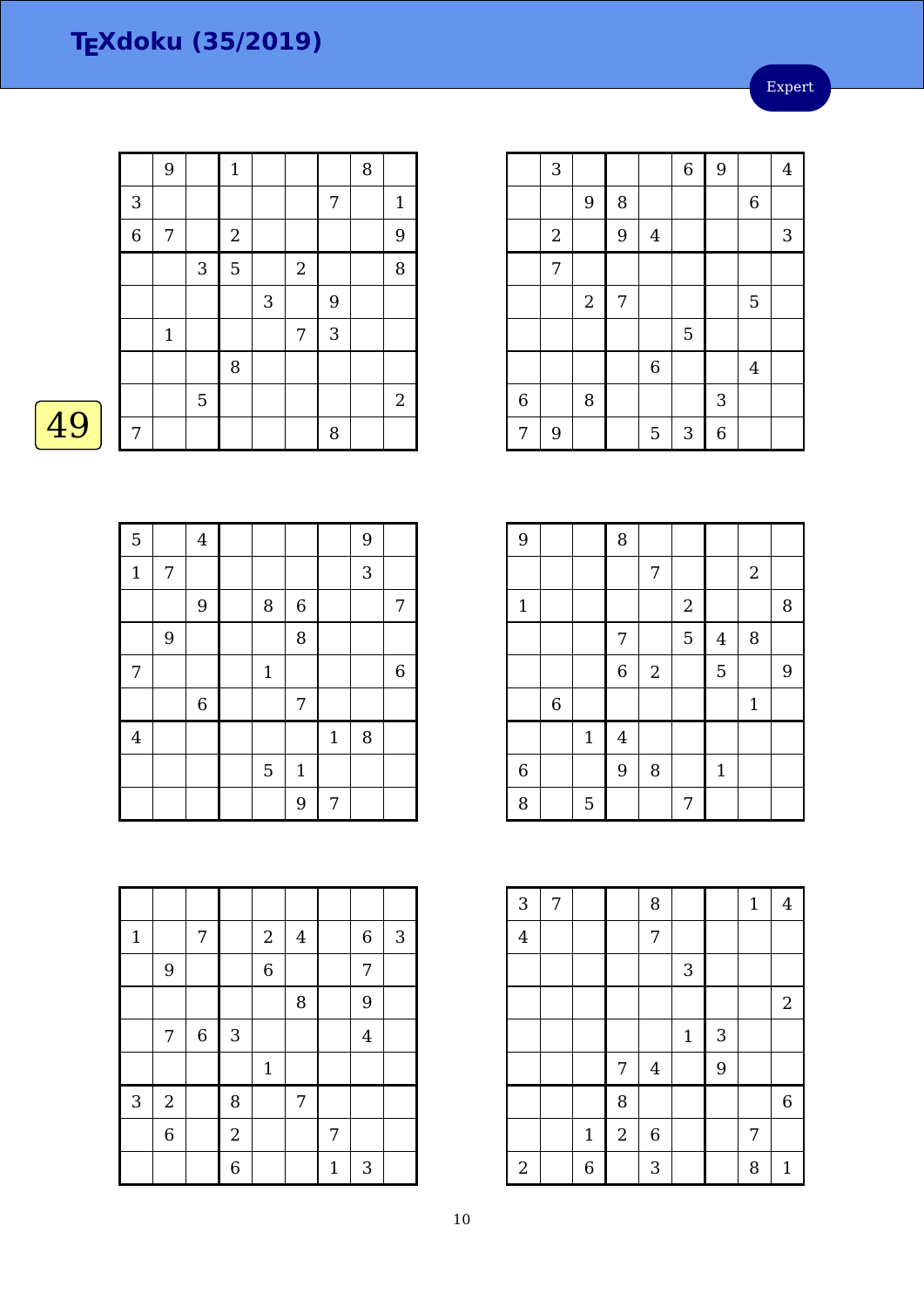Expert

|    |             | 9           |            | $\mathbf{1}$ |   |            |   | 8 |             |
|----|-------------|-------------|------------|--------------|---|------------|---|---|-------------|
|    | 3           |             |            |              |   |            | 7 |   | $\mathbf 1$ |
|    | $\,$ 6 $\,$ | 7           |            | $2\,$        |   |            |   |   | 9           |
|    |             |             | $\sqrt{3}$ | 5            |   | $\sqrt{2}$ |   |   | $\, 8$      |
|    |             |             |            |              | 3 |            | 9 |   |             |
|    |             | $\mathbf 1$ |            |              |   | 7          | 3 |   |             |
|    |             |             |            | 8            |   |            |   |   |             |
|    |             |             | 5          |              |   |            |   |   | 2           |
| 49 | 7           |             |            |              |   |            | 8 |   |             |

|--|--|

| $\overline{5}$          |            | $\overline{\mathbf{4}}$ |             |                |       | 9 |             |
|-------------------------|------------|-------------------------|-------------|----------------|-------|---|-------------|
| $\mathbf{1}$            | $\sqrt{ }$ |                         |             |                |       | 3 |             |
|                         |            | $\overline{9}$          | $\, 8$      | $\,$ 6 $\,$    |       |   | 7           |
|                         | 9          |                         |             | 8              |       |   |             |
| $\boldsymbol{7}$        |            |                         | $\mathbf 1$ |                |       |   | $\,$ 6 $\,$ |
|                         |            | $\,$ 6 $\,$             |             | $\overline{7}$ |       |   |             |
| $\overline{\mathbf{4}}$ |            |                         |             |                | $1\,$ | 8 |             |
|                         |            |                         | 5           | $\mathbf 1$    |       |   |             |
|                         |            |                         |             | 9              | 7     |   |             |

| $\mathbf{1}$ |            | 7       |                | $\boldsymbol{2}$ | $\bf 4$ |              | $\boldsymbol{6}$ | $\sqrt{3}$ |
|--------------|------------|---------|----------------|------------------|---------|--------------|------------------|------------|
|              | 9          |         |                | $\overline{6}$   |         |              | 7                |            |
|              |            |         |                |                  | 8       |              | 9                |            |
|              | 7          | $\,6\,$ | $\sqrt{3}$     |                  |         |              | $\overline{4}$   |            |
|              |            |         |                | $\mathbf 1$      |         |              |                  |            |
| 3            | $\sqrt{2}$ |         | 8              |                  | 7       |              |                  |            |
|              | $\,6$      |         | $\sqrt{2}$     |                  |         | 7            |                  |            |
|              |            |         | $\overline{6}$ |                  |         | $\mathbf{1}$ | 3                |            |

|                | 3          |                |   |                | 6 | 9 |                | $\overline{4}$ |
|----------------|------------|----------------|---|----------------|---|---|----------------|----------------|
|                |            | 9              | 8 |                |   |   | $\,$ 6 $\,$    |                |
|                | $\sqrt{2}$ |                | 9 | $\overline{4}$ |   |   |                | 3              |
|                | 7          |                |   |                |   |   |                |                |
|                |            | $\overline{2}$ | 7 |                |   |   | 5              |                |
|                |            |                |   |                | 5 |   |                |                |
|                |            |                |   | $\overline{6}$ |   |   | $\overline{4}$ |                |
| $\overline{6}$ |            | 8              |   |                |   | 3 |                |                |
| 7              | 9          |                |   | 5              | 3 | 6 |                |                |

| 9           |             |             | 8                       |                  |                |                |            |   |
|-------------|-------------|-------------|-------------------------|------------------|----------------|----------------|------------|---|
|             |             |             |                         | 7                |                |                | $\sqrt{2}$ |   |
| $1\,$       |             |             |                         |                  | $\overline{c}$ |                |            | 8 |
|             |             |             | 7                       |                  | 5              | $\overline{4}$ | 8          |   |
|             |             |             | $\overline{6}$          | $\boldsymbol{2}$ |                | 5              |            | 9 |
|             | $\,$ 6 $\,$ |             |                         |                  |                |                | $1\,$      |   |
|             |             | $\mathbf 1$ | $\overline{\mathbf{4}}$ |                  |                |                |            |   |
| $\,$ 6 $\,$ |             |             | 9                       | 8                |                | $\mathbf{1}$   |            |   |
| 8           |             | 5           |                         |                  | 7              |                |            |   |

| 3              | 7 |              |            | 8                |       |   | $1\,$ | $\overline{4}$   |
|----------------|---|--------------|------------|------------------|-------|---|-------|------------------|
| $\overline{4}$ |   |              |            | 7                |       |   |       |                  |
|                |   |              |            |                  | 3     |   |       |                  |
|                |   |              |            |                  |       |   |       | $\boldsymbol{2}$ |
|                |   |              |            |                  | $1\,$ | 3 |       |                  |
|                |   |              | 7          | $\overline{4}$   |       | 9 |       |                  |
|                |   |              | 8          |                  |       |   |       | $\overline{6}$   |
|                |   | $\mathbf{1}$ | $\sqrt{2}$ | $\boldsymbol{6}$ |       |   | 7     |                  |
| $\sqrt{2}$     |   | 6            |            | 3                |       |   | 8     | $\mathbf{1}$     |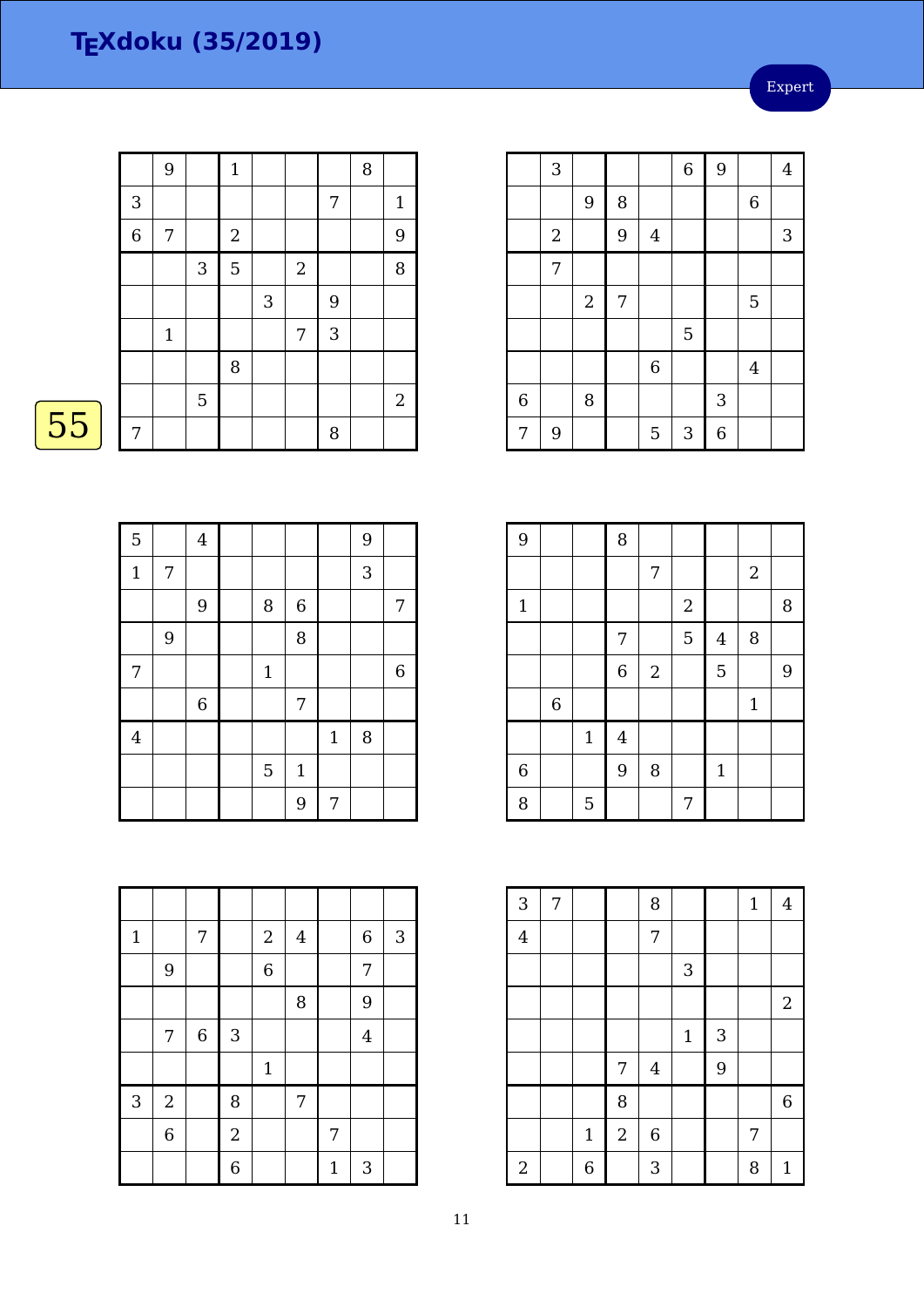Expert

|    |             | 9            |                | $\mathbf 1$      |   |                |            | $\, 8$ |                |
|----|-------------|--------------|----------------|------------------|---|----------------|------------|--------|----------------|
|    | 3           |              |                |                  |   |                | 7          |        | $\mathbf{1}$   |
|    | $\,$ 6 $\,$ | 7            |                | $\boldsymbol{2}$ |   |                |            |        | 9              |
|    |             |              | $\sqrt{3}$     | 5                |   | $\overline{2}$ |            |        | 8              |
|    |             |              |                |                  | 3 |                | 9          |        |                |
|    |             | $\mathbf{1}$ |                |                  |   | 7              | $\sqrt{3}$ |        |                |
|    |             |              |                | 8                |   |                |            |        |                |
|    |             |              | $\overline{5}$ |                  |   |                |            |        | $\overline{2}$ |
| 55 | 7           |              |                |                  |   |                | 8          |        |                |

| $\overline{5}$          |   | $\bf 4$        |                |                |              | 9 |             |
|-------------------------|---|----------------|----------------|----------------|--------------|---|-------------|
| $\mathbf 1$             | 7 |                |                |                |              | 3 |             |
|                         |   | $\overline{9}$ | $\, 8$         | $\overline{6}$ |              |   | 7           |
|                         | 9 |                |                | 8              |              |   |             |
| 7                       |   |                | $\mathbf{1}$   |                |              |   | $\,$ 6 $\,$ |
|                         |   | $\,$ 6 $\,$    |                | 7              |              |   |             |
| $\overline{\mathbf{4}}$ |   |                |                |                | $\mathbf{1}$ | 8 |             |
|                         |   |                | $\overline{5}$ | $\mathbf{1}$   |              |   |             |
|                         |   |                |                | 9              | 7            |   |             |

| $\mathbf{1}$ |                | 7           |                | $\sqrt{2}$     | $\bf 4$ |              | $\,$ 6 $\,$    | $\sqrt{3}$ |
|--------------|----------------|-------------|----------------|----------------|---------|--------------|----------------|------------|
|              | 9              |             |                | $\overline{6}$ |         |              | 7              |            |
|              |                |             |                |                | 8       |              | 9              |            |
|              | 7              | $\,$ 6 $\,$ | $\sqrt{3}$     |                |         |              | $\overline{4}$ |            |
|              |                |             |                | $\mathbf 1$    |         |              |                |            |
| 3            | $\overline{2}$ |             | 8              |                | 7       |              |                |            |
|              | $\overline{6}$ |             | $\overline{2}$ |                |         | 7            |                |            |
|              |                |             | $\overline{6}$ |                |         | $\mathbf{1}$ | 3              |            |

|                | 3          |                |   |                | $\overline{6}$ | 9 |                  | $\overline{4}$ |
|----------------|------------|----------------|---|----------------|----------------|---|------------------|----------------|
|                |            | 9              | 8 |                |                |   | $\boldsymbol{6}$ |                |
|                | $\sqrt{2}$ |                | 9 | $\overline{4}$ |                |   |                  | 3              |
|                | 7          |                |   |                |                |   |                  |                |
|                |            | $\overline{2}$ | 7 |                |                |   | 5                |                |
|                |            |                |   |                | 5              |   |                  |                |
|                |            |                |   | $\,$ 6 $\,$    |                |   | $\overline{4}$   |                |
| $\overline{6}$ |            | 8              |   |                |                | 3 |                  |                |
| 7              | 9          |                |   | 5              | $\mathbf{3}$   | 6 |                  |                |

| 9           |                |              | 8                |              |                  |                |                |   |
|-------------|----------------|--------------|------------------|--------------|------------------|----------------|----------------|---|
|             |                |              |                  | 7            |                  |                | $\overline{2}$ |   |
| $\mathbf 1$ |                |              |                  |              | $\boldsymbol{2}$ |                |                | 8 |
|             |                |              | 7                |              | 5                | $\overline{4}$ | 8              |   |
|             |                |              | $\boldsymbol{6}$ | $\mathbf{2}$ |                  | 5              |                | 9 |
|             | $\overline{6}$ |              |                  |              |                  |                | $\mathbf{1}$   |   |
|             |                | $\mathbf{1}$ | $\bf 4$          |              |                  |                |                |   |
| $\,$ 6 $\,$ |                |              | 9                | 8            |                  | $\mathbf 1$    |                |   |
| 8           |                | 5            |                  |              | 7                |                |                |   |

| 3              | 7 |             |                | 8              |             |   | $\mathbf{1}$   | $\overline{4}$   |
|----------------|---|-------------|----------------|----------------|-------------|---|----------------|------------------|
| $\overline{4}$ |   |             |                | 7              |             |   |                |                  |
|                |   |             |                |                | 3           |   |                |                  |
|                |   |             |                |                |             |   |                | $\boldsymbol{2}$ |
|                |   |             |                |                | $\mathbf 1$ | 3 |                |                  |
|                |   |             | 7              | $\overline{4}$ |             | 9 |                |                  |
|                |   |             | 8              |                |             |   |                | $\overline{6}$   |
|                |   | $\mathbf 1$ | $\overline{2}$ | $\,$ 6 $\,$    |             |   | $\overline{7}$ |                  |
| $\sqrt{2}$     |   | 6           |                | 3              |             |   | 8              | $\mathbf{1}$     |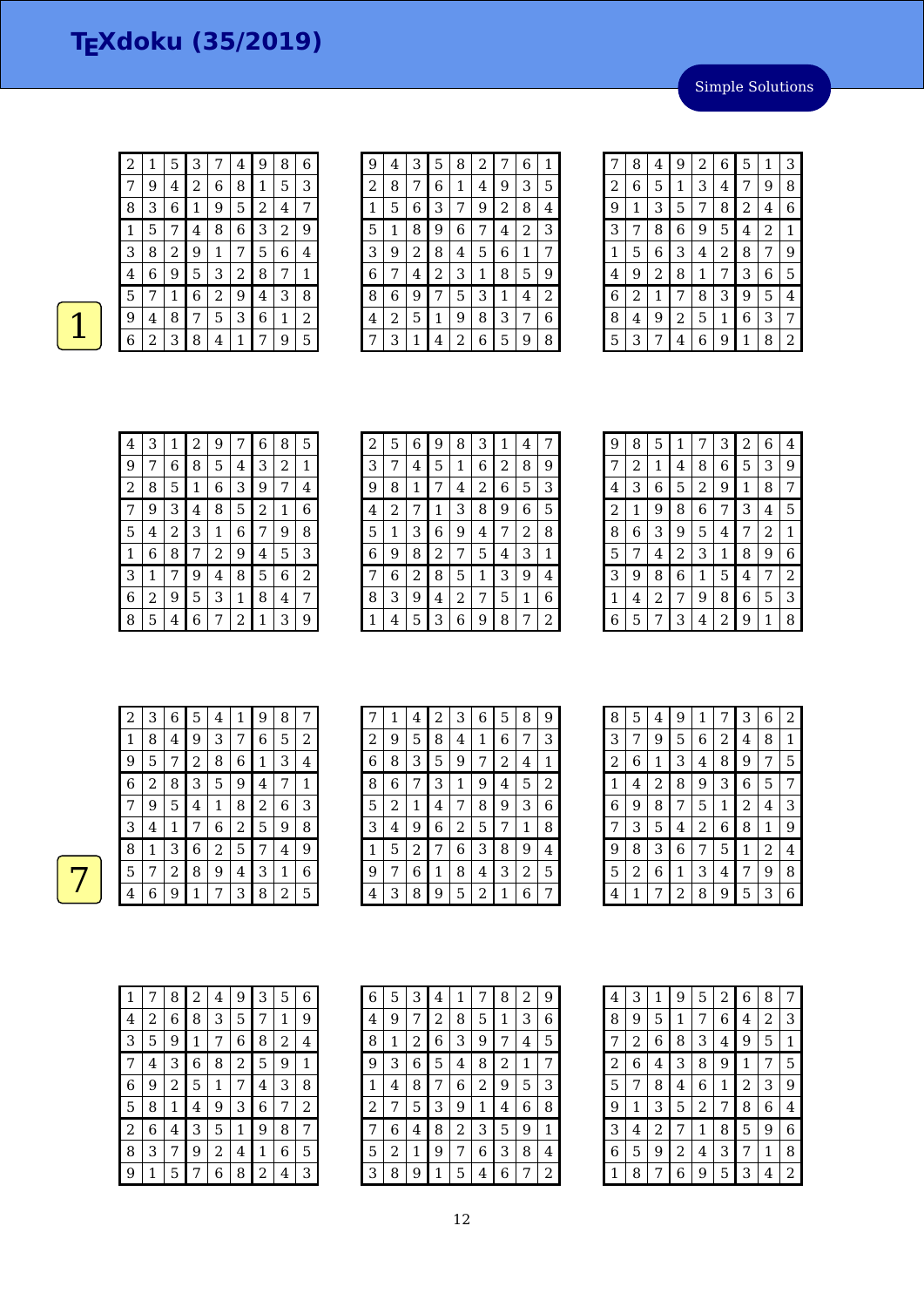Simple Solutions

| 2 | 1 | 5 | 3 | 7 | $\overline{\mathbf{4}}$ | 9 | 8 | 6 |
|---|---|---|---|---|-------------------------|---|---|---|
| 7 | 9 | 4 | 2 | 6 | 8                       | 1 | 5 | 3 |
| 8 | 3 | 6 | 1 | 9 | 5                       | 2 | 4 | 7 |
| 1 | 5 | 7 | 4 | 8 | 6                       | 3 | 2 | 9 |
| 3 | 8 | 2 | 9 | 1 | 7                       | 5 | 6 | 4 |
| 4 | 6 | 9 | 5 | З | 2                       | 8 | 7 | 1 |
| 5 | 7 | 1 | 6 | 2 | 9                       | 4 | З | 8 |
| 9 | 4 | 8 | 7 | 5 | З                       | 6 | 1 | 2 |
| 6 | 2 | З | 8 | 4 | 1                       | 7 | 9 | 5 |

| 9 | 4 | З | 5 | 8 | 2 |   | 6 | 1 |
|---|---|---|---|---|---|---|---|---|
| 2 | 8 | 7 | 6 | 1 | 4 | 9 | 3 | 5 |
| 1 | 5 | 6 | З | 7 | 9 | 2 | 8 | 4 |
| 5 | 1 | 8 | 9 | 6 | 7 | 4 | 2 | З |
| 3 | 9 | 2 | 8 | 4 | 5 | 6 | 1 | 7 |
| 6 | 7 | 4 | 2 | З | 1 | 8 | 5 | 9 |
| 8 | 6 | 9 | 7 | 5 | З | 1 | 4 | 2 |
| 4 | 2 | 5 | 1 | 9 | 8 | 3 | 7 | 6 |
|   | З | 1 | 4 | 2 | 6 | 5 | 9 | 8 |

| 7              | 8 | 4              | 9 | 2 | 6 | 5              | 1              | 3 |
|----------------|---|----------------|---|---|---|----------------|----------------|---|
| $\overline{2}$ | 6 | 5              | 1 | 3 | 4 | 7              | 9              | 8 |
| 9              | 1 | 3              | 5 | 7 | 8 | $\overline{c}$ | 4              | 6 |
| 3              | 7 | 8              | 6 | 9 | 5 | 4              | $\overline{2}$ | 1 |
| 1              | 5 | 6              | 3 | 4 | 2 | 8              | 7              | 9 |
| 4              | 9 | $\overline{c}$ | 8 | 1 | 7 | 3              | 6              | 5 |
| 6              | 2 | 1              | 7 | 8 | 3 | 9              | 5              | 4 |
| 8              | 4 | 9              | 2 | 5 | 1 | 6              | 3              | 7 |
| 5              | 3 | 7              | 4 | 6 | 9 | 1              | 8              | 2 |

| 4 | 3 | 1 | 2           | 9           | 7 | 6 | 8 | 5 |
|---|---|---|-------------|-------------|---|---|---|---|
| 9 | 7 | 6 | 8           | 5           | 4 | 3 | 2 | 1 |
| 2 | 8 | 5 | $\mathbf 1$ | 6           | 3 | 9 | 7 | 4 |
| 7 | 9 | 3 | 4           | 8           | 5 | 2 | 1 | 6 |
| 5 | 4 | 2 | 3           | $\mathbf 1$ | 6 | 7 | 9 | 8 |
| 1 | 6 | 8 | 7           | 2           | 9 | 4 | 5 | 3 |
| 3 | 1 | 7 | 9           | 4           | 8 | 5 | 6 | 2 |
| 6 | 2 | 9 | 5           | 3           | 1 | 8 | 4 | 7 |
| 8 | 5 | 4 | 6           | 7           | 2 | 1 | 3 | 9 |

| 2 | 5 | 6 | 9 | 8 | 3 | 1 | 4 | 7 |
|---|---|---|---|---|---|---|---|---|
| 3 | 7 | 4 | 5 | 1 | 6 | 2 | 8 | 9 |
| 9 | 8 | 1 | 7 | 4 | 2 | 6 | 5 | 3 |
| 4 | 2 | 7 | 1 | 3 | 8 | 9 | 6 | 5 |
| 5 | 1 | 3 | 6 | 9 | 4 | 7 | 2 | 8 |
| 6 | 9 | 8 | 2 | 7 | 5 | 4 | 3 | 1 |
| 7 | 6 | 2 | 8 | 5 | 1 | 3 | 9 | 4 |
| 8 | 3 | 9 | 4 | 2 | 7 | 5 | 1 | 6 |
| 1 | 4 | 5 | 3 | 6 | 9 | 8 | 7 | 2 |

| 9 | 8 | 5 | $\mathbf{1}$ |   | 3 | 2 | 6 | 4 |
|---|---|---|--------------|---|---|---|---|---|
| 7 | 2 | 1 | 4            | 8 | 6 | 5 | 3 | 9 |
| 4 | 3 | 6 | 5            | 2 | 9 | 1 | 8 | 7 |
| 2 | 1 | 9 | 8            | 6 | 7 | 3 | 4 | 5 |
| 8 | 6 | З | 9            | 5 | 4 | 7 | 2 | 1 |
| 5 | 7 | 4 | 2            | 3 | 1 | 8 | 9 | 6 |
| З | 9 | 8 | 6            | 1 | 5 | 4 | 7 | 2 |
| 1 | 4 | 2 | 7            | 9 | 8 | 6 | 5 | 3 |
| 6 | 5 | 7 | 3            | 4 | 2 | 9 | 1 | 8 |

| 2 | 3 | 6 | 5 | 4 | 1 | 9            | 8 |   |
|---|---|---|---|---|---|--------------|---|---|
| 1 | 8 | 4 | 9 | 3 | 7 | 6            | 5 | 2 |
| 9 | 5 | 7 | 2 | 8 | 6 | $\mathbf{1}$ | 3 | 4 |
| 6 | 2 | 8 | 3 | 5 | 9 | 4            | 7 | 1 |
| 7 | 9 | 5 | 4 | 1 | 8 | 2            | 6 | 3 |
| 3 | 4 | 1 | 7 | 6 | 2 | 5            | 9 | 8 |
| 8 | 1 | 3 | 6 | 2 | 5 | 7            | 4 | 9 |
| 5 | 7 | 2 | 8 | 9 | 4 | 3            | 1 | 6 |
| 4 | 6 | 9 | 1 | 7 | 3 | 8            | 2 | 5 |

| 7 | 1 | 4 | $\overline{2}$ | 3              | 6 | 5 | 8 | 9              |
|---|---|---|----------------|----------------|---|---|---|----------------|
| 2 | 9 | 5 | 8              | 4              | 1 | 6 | 7 | 3              |
| 6 | 8 | 3 | 5              | 9              | 7 | 2 | 4 | 1              |
| 8 | 6 | 7 | 3              | 1              | 9 | 4 | 5 | $\overline{2}$ |
| 5 | 2 | 1 | 4              | 7              | 8 | 9 | 3 | 6              |
| З | 4 | 9 | 6              | $\overline{2}$ | 5 | 7 | 1 | 8              |
| 1 | 5 | 2 | 7              | 6              | 3 | 8 | 9 | 4              |
| 9 | 7 | 6 | 1              | 8              | 4 | 3 | 2 | 5              |
| 4 | 3 | 8 | 9              | 5              | 2 | 1 | 6 | 7              |

| 8              | 5 | 4              | 9              | 1 | 7 | 3              | 6              | 2 |
|----------------|---|----------------|----------------|---|---|----------------|----------------|---|
| 3              | 7 | 9              | 5              | 6 | 2 | 4              | 8              | 1 |
| $\overline{c}$ | 6 | 1              | 3              | 4 | 8 | 9              | 7              | 5 |
| 1              | 4 | $\overline{c}$ | 8              | 9 | 3 | 6              | 5              | 7 |
| 6              | 9 | 8              | 7              | 5 | 1 | $\overline{c}$ | 4              | 3 |
| 7              | 3 | 5              | 4              | 2 | 6 | 8              | 1              | 9 |
| 9              | 8 | 3              | 6              | 7 | 5 | $\mathbf{1}$   | $\overline{2}$ | 4 |
| 5              | 2 | 6              | 1              | 3 | 4 | 7              | 9              | 8 |
| 4              | 1 | 7              | $\overline{c}$ | 8 | 9 | 5              | 3              | 6 |

| 1 |   | 8 | 2 | 4 | 9 | 3 | 5 | 6 |
|---|---|---|---|---|---|---|---|---|
| 4 | 2 | 6 | 8 | 3 | 5 | 7 | 1 | 9 |
| 3 | 5 | 9 | 1 | 7 | 6 | 8 | 2 | 4 |
| 7 | 4 | 3 | 6 | 8 | 2 | 5 | 9 | 1 |
| 6 | 9 | 2 | 5 | 1 | 7 | 4 | 3 | 8 |
| 5 | 8 | 1 | 4 | 9 | З | 6 | 7 | 2 |
| 2 | 6 | 4 | З | 5 | 1 | 9 | 8 | 7 |
| 8 | З | 7 | 9 | 2 | 4 | 1 | 6 | 5 |
| 9 | 1 | 5 |   | 6 | 8 | 2 | 4 | З |

| 6              | 5 | 3 | 4 | 1 | 7 | 8              | $\overline{c}$ | 9 |
|----------------|---|---|---|---|---|----------------|----------------|---|
| 4              | 9 | 7 | 2 | 8 | 5 | 1              | 3              | 6 |
| 8              | 1 | 2 | 6 | 3 | 9 | 7              | 4              | 5 |
| 9              | 3 | 6 | 5 | 4 | 8 | $\overline{c}$ | 1              | 7 |
| 1              | 4 | 8 | 7 | 6 | 2 | 9              | 5              | З |
| $\overline{c}$ | 7 | 5 | 3 | 9 | 1 | 4              | 6              | 8 |
| 7              | 6 | 4 | 8 | 2 | 3 | 5              | 9              | 1 |
| 5              | 2 | 1 | 9 | 7 | 6 | З              | 8              | 4 |
| З              | 8 | 9 | 1 | 5 | 4 | 6              | 7              | 2 |

| 4 | 3 | 1 | 9 | 5 | 2 | 6 | 8              | 7 |
|---|---|---|---|---|---|---|----------------|---|
| 8 | 9 | 5 | 1 | 7 | 6 | 4 | $\overline{c}$ | З |
| 7 | 2 | 6 | 8 | З | 4 | 9 | 5              | 1 |
| 2 | 6 | 4 | 3 | 8 | 9 | 1 | 7              | 5 |
| 5 | 7 | 8 | 4 | 6 | 1 | 2 | 3              | 9 |
| 9 | 1 | 3 | 5 | 2 | 7 | 8 | 6              | 4 |
| 3 | 4 | 2 | 7 | 1 | 8 | 5 | 9              | 6 |
| 6 | 5 | 9 | 2 | 4 | 3 | 7 | 1              | 8 |
|   | 8 | 7 | 6 | 9 | 5 | З | 4              | 2 |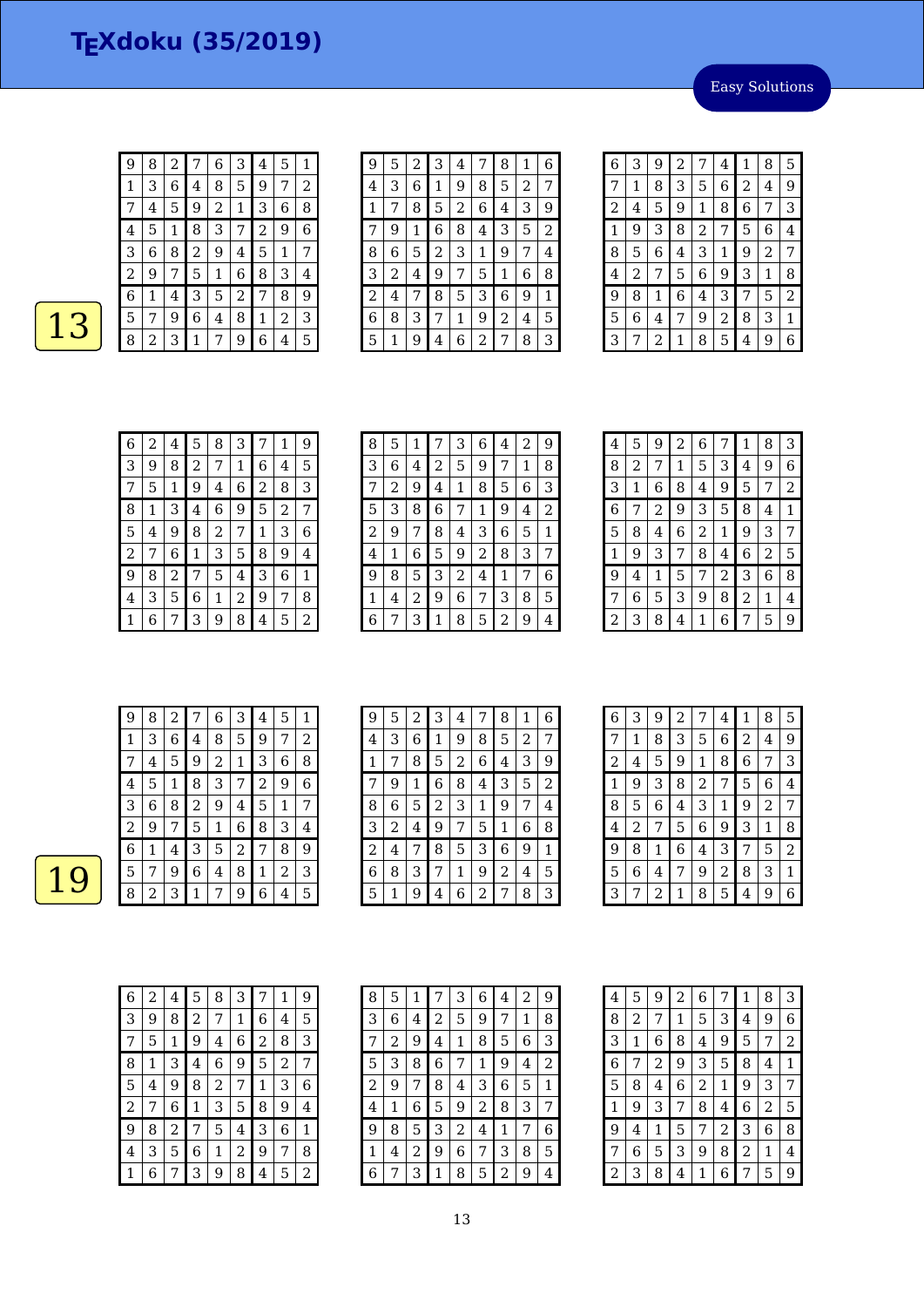Easy Solutions

| 9              | 8 | 2 | 7              | 6 | 3 | 4              | 5 | 1 |
|----------------|---|---|----------------|---|---|----------------|---|---|
| 1              | 3 | 6 | 4              | 8 | 5 | 9              | 7 | 2 |
|                | 4 | 5 | 9              | 2 | 1 | 3              | 6 | 8 |
| $\overline{4}$ | 5 | 1 | 8              | 3 | 7 | $\overline{c}$ | 9 | 6 |
| 3              | 6 | 8 | $\overline{2}$ | 9 | 4 | 5              | 1 | 7 |
| 2              | 9 | 7 | 5              | 1 | 6 | 8              | 3 | 4 |
| 6              | 1 | 4 | 3              | 5 | 2 | 7              | 8 | 9 |
| 5              | 7 | 9 | 6              | 4 | 8 | 1              | 2 | З |
| 8              | 2 | 3 | 1              | 7 | 9 | 6              | 4 | 5 |

 $\overline{13}$ 

| 9 | 5 | 2 | З | 4 | 7 | 8 | 1 | 6 |
|---|---|---|---|---|---|---|---|---|
| 4 | З | 6 | 1 | 9 | 8 | 5 | 2 | 7 |
| 1 | 7 | 8 | 5 | 2 | 6 | 4 | 3 | 9 |
| 7 | 9 | 1 | 6 | 8 | 4 | 3 | 5 | 2 |
| 8 | 6 | 5 | 2 | 3 | 1 | 9 | 7 | 4 |
| 3 | 2 | 4 | 9 | 7 | 5 | 1 | 6 | 8 |
| 2 | 4 | 7 | 8 | 5 | 3 | 6 | 9 | 1 |
| 6 | 8 | 3 | 7 | 1 | 9 | 2 | 4 | 5 |
| 5 | 1 | 9 | 4 | 6 | 2 |   | 8 | 3 |

| 6 | 3 | 9 | 2 | 7              | 4              | 1 | 8 | 5 |
|---|---|---|---|----------------|----------------|---|---|---|
| 7 | 1 | 8 | 3 | 5              | 6              | 2 | 4 | 9 |
| 2 | 4 | 5 | 9 | 1              | 8              | 6 | 7 | 3 |
| 1 | 9 | 3 | 8 | $\overline{a}$ | 7              | 5 | 6 | 4 |
| 8 | 5 | 6 | 4 | 3              | 1              | 9 | 2 | 7 |
| 4 | 2 | 7 | 5 | 6              | 9              | 3 | 1 | 8 |
| 9 | 8 | 1 | 6 | 4              | 3              | 7 | 5 | 2 |
| 5 | 6 | 4 | 7 | 9              | $\overline{c}$ | 8 | 3 | 1 |
| 3 | 7 | 2 | 1 | 8              | 5              | 4 | 9 | 6 |

| 6 | 2 | 4 | 5 | 8 | 3 | 7 | 1 | 9 |
|---|---|---|---|---|---|---|---|---|
| 3 | 9 | 8 | 2 | 7 | 1 | 6 | 4 | 5 |
| 7 | 5 | 1 | 9 | 4 | 6 | 2 | 8 | 3 |
| 8 | 1 | З | 4 | 6 | 9 | 5 | 2 | 7 |
| 5 | 4 | 9 | 8 | 2 | 7 | 1 | 3 | 6 |
| 2 | 7 | 6 | 1 | 3 | 5 | 8 | 9 | 4 |
| 9 | 8 | 2 | 7 | 5 | 4 | 3 | 6 | 1 |
| 4 | З | 5 | 6 | 1 | 2 | 9 | 7 | 8 |
|   | 6 |   | 3 | 9 | 8 | 4 | 5 | 2 |

| 8 | 5 | 1 |   | 3 | 6 | $\overline{4}$ | 2 | 9 |
|---|---|---|---|---|---|----------------|---|---|
| 3 | 6 | 4 | 2 | 5 | 9 | 7              | 1 | 8 |
| 7 | 2 | 9 | 4 | 1 | 8 | 5              | 6 | 3 |
| 5 | 3 | 8 | 6 | 7 | 1 | 9              | 4 | 2 |
| 2 | 9 | 7 | 8 | 4 | 3 | 6              | 5 | 1 |
| 4 | 1 | 6 | 5 | 9 | 2 | 8              | 3 | 7 |
| 9 | 8 | 5 | 3 | 2 | 4 | 1              | 7 | 6 |
| 1 | 4 | 2 | 9 | 6 | 7 | 3              | 8 | 5 |
| 6 | 7 | 3 | 1 | 8 | 5 | 2              | 9 | 4 |

| 4 | 5 | 9 | 2 | 6 | 7 | 1 | 8 | 3 |
|---|---|---|---|---|---|---|---|---|
| 8 | 2 | 7 | 1 | 5 | 3 | 4 | 9 | 6 |
| 3 | 1 | 6 | 8 | 4 | 9 | 5 | 7 | 2 |
| 6 | 7 | 2 | 9 | 3 | 5 | 8 | 4 | 1 |
| 5 | 8 | 4 | 6 | 2 | 1 | 9 | З | 7 |
| 1 | 9 | З | 7 | 8 | 4 | 6 | 2 | 5 |
| 9 | 4 | 1 | 5 | 7 | 2 | 3 | 6 | 8 |
| 7 | 6 | 5 | З | 9 | 8 | 2 | 1 | 4 |
| 2 | 3 | 8 | 4 | 1 | 6 | 7 | 5 | 9 |

| 9 | 8           | $\overline{2}$ |   | 6 | З              | 4 | 5              | 1                |
|---|-------------|----------------|---|---|----------------|---|----------------|------------------|
| 1 | 3           | 6              | 4 | 8 | 5              | 9 | 7              | $\boldsymbol{2}$ |
|   | 4           | 5              | 9 | 2 | $\mathbf{1}$   | З | 6              | 8                |
| 4 | 5           | 1              | 8 | З | 7              | 2 | 9              | 6                |
| 3 | 6           | 8              | 2 | 9 | 4              | 5 | 1              | 7                |
| 2 | 9           | 7              | 5 | 1 | 6              | 8 | З              | 4                |
| 6 | $\mathbf 1$ | 4              | 3 | 5 | $\overline{2}$ | 7 | 8              | 9                |
| 5 | 7           | 9              | 6 | 4 | 8              | 1 | $\overline{2}$ | 3                |
| 8 | 2           | З              | 1 | 7 | 9              | 6 | 4              | 5                |

| 9 | 5 | 2 | 3           | 4 | 7 | 8              | 1 | 6 |
|---|---|---|-------------|---|---|----------------|---|---|
| 4 | 3 | 6 | $\mathbf 1$ | 9 | 8 | 5              | 2 | 7 |
| 1 | 7 | 8 | 5           | 2 | 6 | 4              | 3 | 9 |
| 7 | 9 | 1 | 6           | 8 | 4 | 3              | 5 | 2 |
| 8 | 6 | 5 | 2           | 3 | 1 | 9              | 7 | 4 |
| З | 2 | 4 | 9           | 7 | 5 | 1              | 6 | 8 |
| 2 | 4 | 7 | 8           | 5 | 3 | 6              | 9 | 1 |
| 6 | 8 | З | 7           | 1 | 9 | $\overline{c}$ | 4 | 5 |
| 5 |   | 9 | 4           | 6 | 2 | 7              | 8 | 3 |

| 6              | 3              | 9 | 2 | 7              | 4 | 1 | 8              | 5              |
|----------------|----------------|---|---|----------------|---|---|----------------|----------------|
| 7              | 1              | 8 | 3 | 5              | 6 | 2 | 4              | 9              |
| $\overline{c}$ | 4              | 5 | 9 | 1              | 8 | 6 | 7              | 3              |
| 1              | 9              | 3 | 8 | $\overline{2}$ | 7 | 5 | 6              | 4              |
| 8              | 5              | 6 | 4 | 3              | 1 | 9 | $\overline{2}$ | 7              |
| 4              | $\overline{c}$ | 7 | 5 | 6              | 9 | 3 | 1              | 8              |
| 9              | 8              | 1 | 6 | 4              | 3 | 7 | 5              | $\overline{2}$ |
| 5              | 6              | 4 | 7 | 9              | 2 | 8 | 3              | 1              |
| 3              | 7              | 2 | 1 | 8              | 5 | 4 | 9              | 6              |

| 6 | 2 | 4 | 5 | 8 | 3 | 7 | 1 | 9 |
|---|---|---|---|---|---|---|---|---|
| 3 | 9 | 8 | 2 | 7 | 1 | 6 | 4 | 5 |
| 7 | 5 | 1 | 9 | 4 | 6 | 2 | 8 | З |
| 8 | 1 | 3 | 4 | 6 | 9 | 5 | 2 | 7 |
| 5 | 4 | 9 | 8 | 2 | 7 | 1 | 3 | 6 |
| 2 | 7 | 6 | 1 | 3 | 5 | 8 | 9 | 4 |
| 9 | 8 | 2 | 7 | 5 | 4 | 3 | 6 | 1 |
| 4 | 3 | 5 | 6 | 1 | 2 | 9 | 7 | 8 |
|   | 6 | 7 | 3 | 9 | 8 | 4 | 5 | 2 |

| 8 | 5 | 1 | 7 | 3 | 6 | 4 | 2 | 9 |
|---|---|---|---|---|---|---|---|---|
| 3 | 6 | 4 | 2 | 5 | 9 | 7 | 1 | 8 |
| 7 | 2 | 9 | 4 | 1 | 8 | 5 | 6 | З |
| 5 | 3 | 8 | 6 | 7 | 1 | 9 | 4 | 2 |
| 2 | 9 | 7 | 8 | 4 | З | 6 | 5 | 1 |
| 4 | 1 | 6 | 5 | 9 | 2 | 8 | 3 | 7 |
| 9 | 8 | 5 | З | 2 | 4 | 1 | 7 | 6 |
| 1 | 4 | 2 | 9 | 6 | 7 | 3 | 8 | 5 |
| 6 | 7 | 3 | 1 | 8 | 5 | 2 | 9 | 4 |

| 4 | 5 | 9 | 2 | 6 | 7 | 1 | 8              | З |
|---|---|---|---|---|---|---|----------------|---|
| 8 | 2 | 7 | 1 | 5 | 3 | 4 | 9              | 6 |
| 3 | 1 | 6 | 8 | 4 | 9 | 5 | 7              | 2 |
| 6 | 7 | 2 | 9 | 3 | 5 | 8 | 4              | 1 |
| 5 | 8 | 4 | 6 | 2 | 1 | 9 | 3              | 7 |
| 1 | 9 | З | 7 | 8 | 4 | 6 | $\overline{c}$ | 5 |
| 9 | 4 | 1 | 5 | 7 | 2 | 3 | 6              | 8 |
| 7 | 6 | 5 | 3 | 9 | 8 | 2 | 1              | 4 |
| 2 | З | 8 | 4 | 1 | 6 | 7 | 5              | 9 |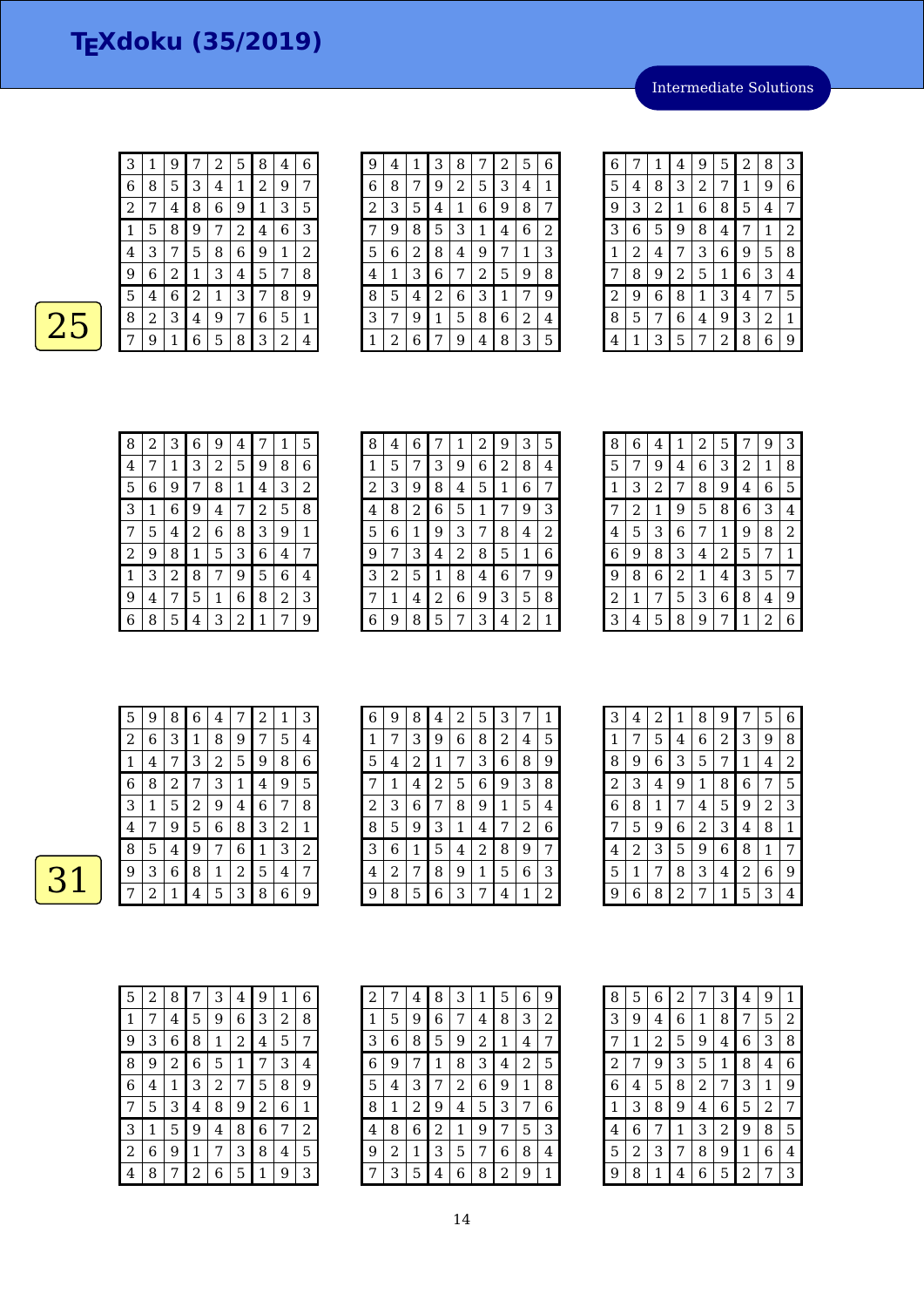Intermediate Solutions

| 3 |   | 9 |   | 2 | 5 | 8 | 4 | 6 | 9 | 4 |
|---|---|---|---|---|---|---|---|---|---|---|
| 6 | 8 | 5 | З | 4 | 1 | 2 | 9 | 7 | 6 | 8 |
| 2 | 7 | 4 | 8 | 6 | 9 | 1 | 3 | 5 | 2 | 3 |
| 1 | 5 | 8 | 9 | 7 | 2 | 4 | 6 | 3 |   | 9 |
| 4 | 3 | 7 | 5 | 8 | 6 | 9 | 1 | 2 | 5 | 6 |
| 9 | 6 | 2 | 1 | З | 4 | 5 | 7 | 8 | 4 |   |
| 5 | 4 | 6 | 2 | 1 | З | 7 | 8 | 9 | 8 | 5 |
| 8 | 2 | 3 | 4 | 9 | 7 | 6 | 5 | 1 | 3 | 7 |
| 7 | 9 | 1 | 6 | 5 | 8 | 3 | 2 | 4 | 1 | 2 |

| 9 | 4 | 1 | З              | 8              | 7 | 2 | 5 | 6 |
|---|---|---|----------------|----------------|---|---|---|---|
| 6 | 8 | 7 | 9              | $\overline{c}$ | 5 | З | 4 | 1 |
| 2 | З | 5 | 4              | 1              | 6 | g | 8 |   |
| 7 | 9 | 8 | 5              | 3              | 1 | 4 | 6 | 2 |
| 5 | 6 | 2 | 8              | 4              | g | 7 | 1 | 3 |
| 4 | 1 | З | 6              | 7              | 2 | 5 | 9 | 8 |
| 8 | 5 | 4 | $\overline{c}$ | 6              | 3 | 1 | 7 | 9 |
| 3 | 7 | 9 | 1              | 5              | 8 | 6 | 2 | 4 |
|   | 2 | 6 | 7              | 9              | 4 | 8 | З | 5 |

| 6 | 7 | 1              | 4              | 9 | 5 | $\overline{c}$ | 8 | 3 |
|---|---|----------------|----------------|---|---|----------------|---|---|
| 5 | 4 | 8              | 3              | 2 | 7 | 1              | 9 | 6 |
| 9 | 3 | $\overline{c}$ | $\mathbf{1}$   | 6 | 8 | 5              | 4 | 7 |
| 3 | 6 | 5              | 9              | 8 | 4 | 7              | 1 | 2 |
| 1 | 2 | 4              | 7              | 3 | 6 | 9              | 5 | 8 |
| 7 | 8 | 9              | $\overline{c}$ | 5 | 1 | 6              | 3 | 4 |
| 2 | 9 | 6              | 8              | 1 | 3 | 4              | 7 | 5 |
| 8 | 5 | 7              | 6              | 4 | 9 | 3              | 2 | 1 |
| 4 | 1 | 3              | 5              | 7 | 2 | 8              | 6 | 9 |

| 8 | 2 | 3 | 6 | 9 | 4 | 7 | 1 | 5 |
|---|---|---|---|---|---|---|---|---|
| 4 | 7 | 1 | 3 | 2 | 5 | 9 | 8 | 6 |
| 5 | 6 | 9 | 7 | 8 | 1 | 4 | 3 | 2 |
| З | 1 | 6 | 9 | 4 | 7 | 2 | 5 | 8 |
| 7 | 5 | 4 | 2 | 6 | 8 | 3 | 9 | 1 |
| 2 | 9 | 8 | 1 | 5 | 3 | 6 | 4 | 7 |
| 1 | 3 | 2 | 8 | 7 | 9 | 5 | 6 | 4 |
| 9 | 4 |   | 5 | 1 | 6 | 8 | 2 | 3 |
| 6 | 8 | 5 | 4 | 3 | 2 | 1 | 7 | 9 |

| 8 | 4 | 6 |   | 1 | 2 | 9 | 3 | 5 |
|---|---|---|---|---|---|---|---|---|
| 1 | 5 | 7 | 3 | 9 | 6 | 2 | 8 | 4 |
| 2 | 3 | 9 | 8 | 4 | 5 | 1 | 6 | 7 |
| 4 | 8 | 2 | 6 | 5 | 1 | 7 | 9 | 3 |
| 5 | 6 | 1 | 9 | 3 | 7 | 8 | 4 | 2 |
| 9 | 7 | 3 | 4 | 2 | 8 | 5 | 1 | 6 |
| З | 2 | 5 | 1 | 8 | 4 | 6 | 7 | 9 |
| 7 | 1 | 4 | 2 | 6 | 9 | 3 | 5 | 8 |
| 6 | 9 | 8 | 5 | 7 | 3 | 4 | 2 | 1 |

| 8              | 6 | 4 | 1 | 2 | 5 |   | 9 | 3 |
|----------------|---|---|---|---|---|---|---|---|
| 5              | 7 | 9 | 4 | 6 | 3 | 2 | 1 | 8 |
| 1              | 3 | 2 | 7 | 8 | 9 | 4 | 6 | 5 |
| 7              | 2 | 1 | 9 | 5 | 8 | 6 | 3 | 4 |
| 4              | 5 | З | 6 | 7 | 1 | 9 | 8 | 2 |
| 6              | 9 | 8 | 3 | 4 | 2 | 5 | 7 | 1 |
| 9              | 8 | 6 | 2 | 1 | 4 | 3 | 5 | 7 |
| $\overline{2}$ | 1 | 7 | 5 | З | 6 | 8 | 4 | 9 |
| З              | 4 | 5 | 8 | 9 | 7 | 1 | 2 | 6 |

| 5 | 9           | 8              | 6 | 4 |   | 2 | 1 | 3 |
|---|-------------|----------------|---|---|---|---|---|---|
| 2 | 6           | 3              | 1 | 8 | 9 | 7 | 5 | 4 |
| 1 | 4           | 7              | З | 2 | 5 | 9 | 8 | 6 |
| 6 | 8           | $\overline{c}$ | 7 | З | 1 | 4 | 9 | 5 |
| З | $\mathbf 1$ | 5              | 2 | 9 | 4 | 6 | 7 | 8 |
| 4 | 7           | 9              | 5 | 6 | 8 | З | 2 | 1 |
| 8 | 5           | 4              | 9 | 7 | 6 | 1 | 3 | 2 |
| 9 | 3           | 6              | 8 | 1 | 2 | 5 | 4 | 7 |
|   | 2           | 1              | 4 | 5 | З | 8 | 6 | 9 |

| 6 | 9 | 8 | 4              | 2 | 5              | 3 | 7 | 1 |
|---|---|---|----------------|---|----------------|---|---|---|
| 1 | 7 | 3 | 9              | 6 | 8              | 2 | 4 | 5 |
| 5 | 4 | 2 | 1              | 7 | 3              | 6 | 8 | 9 |
| 7 | 1 | 4 | $\overline{2}$ | 5 | 6              | 9 | 3 | 8 |
| 2 | 3 | 6 | 7              | 8 | 9              | 1 | 5 | 4 |
| 8 | 5 | 9 | 3              | 1 | 4              | 7 | 2 | 6 |
| 3 | 6 | 1 | 5              | 4 | $\overline{2}$ | 8 | 9 | 7 |
| 4 | 2 | 7 | 8              | 9 | 1              | 5 | 6 | 3 |
| 9 | 8 | 5 | 6              | 3 | 7              | 4 | 1 | 2 |

| 3              | 4 | 2 | 1 | 8              | 9              | 7              | 5 | 6 |
|----------------|---|---|---|----------------|----------------|----------------|---|---|
| $\mathbf{1}$   | 7 | 5 | 4 | 6              | $\overline{c}$ | З              | 9 | 8 |
| 8              | 9 | 6 | З | 5              | 7              | 1              | 4 | 2 |
| $\overline{c}$ | 3 | 4 | 9 | 1              | 8              | 6              | 7 | 5 |
| 6              | 8 | 1 | 7 | 4              | 5              | 9              | 2 | 3 |
| 7              | 5 | 9 | 6 | $\overline{c}$ | 3              | 4              | 8 | 1 |
| 4              | 2 | 3 | 5 | 9              | 6              | 8              | 1 | 7 |
| 5              | 1 |   | 8 | 3              | 4              | $\overline{2}$ | 6 | 9 |
| 9              | 6 | 8 | 2 | 7              | $\mathbf{1}$   | 5              | 3 | 4 |

| 5              | 2 | 8 |                | 3 | 4 | 9              | 1 | 6              |
|----------------|---|---|----------------|---|---|----------------|---|----------------|
| 1              | 7 | 4 | 5              | 9 | 6 | 3              | 2 | 8              |
| 9              | 3 | 6 | 8              | 1 | 2 | 4              | 5 | 7              |
| 8              | 9 | 2 | 6              | 5 | 1 | 7              | 3 | 4              |
| 6              | 4 | 1 | 3              | 2 | 7 | 5              | 8 | 9              |
| 7              | 5 | 3 | 4              | 8 | 9 | $\overline{c}$ | 6 | 1              |
| 3              | 1 | 5 | 9              | 4 | 8 | 6              | 7 | $\overline{2}$ |
| $\overline{c}$ | 6 | 9 | 1              | 7 | 3 | 8              | 4 | 5              |
| $\overline{4}$ | 8 | 7 | $\overline{2}$ | 6 | 5 | 1              | 9 | 3              |

| $\overline{2}$ | 7 | 4 | 8 | 3 | 1 | 5 | 6           | 9 |
|----------------|---|---|---|---|---|---|-------------|---|
| 1              | 5 | 9 | 6 | 7 | 4 | 8 | З           | 2 |
| 3              | 6 | 8 | 5 | 9 | 2 | 1 | 4           | 7 |
| 6              | 9 | 7 | 1 | 8 | 3 | 4 | 2           | 5 |
| 5              | 4 | 3 | 7 | 2 | 6 | 9 | $\mathbf 1$ | 8 |
| 8              | 1 | 2 | 9 | 4 | 5 | З | 7           | 6 |
| 4              | 8 | 6 | 2 | 1 | 9 | 7 | 5           | 3 |
| 9              | 2 | 1 | З | 5 | 7 | 6 | 8           | 4 |
| 7              | 3 | 5 | 4 | 6 | 8 | 2 | 9           | 1 |

| 8              | 5 | 6 | 2 | 7              | 3              | 4 | 9              | $\mathbf 1$    |
|----------------|---|---|---|----------------|----------------|---|----------------|----------------|
| 3              | 9 | 4 | 6 | 1              | 8              | 7 | 5              | $\overline{2}$ |
| 7              | 1 | 2 | 5 | 9              | 4              | 6 | 3              | 8              |
| $\overline{c}$ | 7 | 9 | 3 | 5              | 1              | 8 | 4              | 6              |
| 6              | 4 | 5 | 8 | $\overline{c}$ | 7              | 3 | 1              | 9              |
| 1              | 3 | 8 | 9 | 4              | 6              | 5 | $\overline{2}$ | 7              |
| 4              | 6 | 7 | 1 | 3              | $\overline{c}$ | 9 | 8              | 5              |
| 5              | 2 | 3 | 7 | 8              | 9              | 1 | 6              | 4              |
| 9              | 8 | 1 | 4 | 6              | 5              | 2 | 7              | 3              |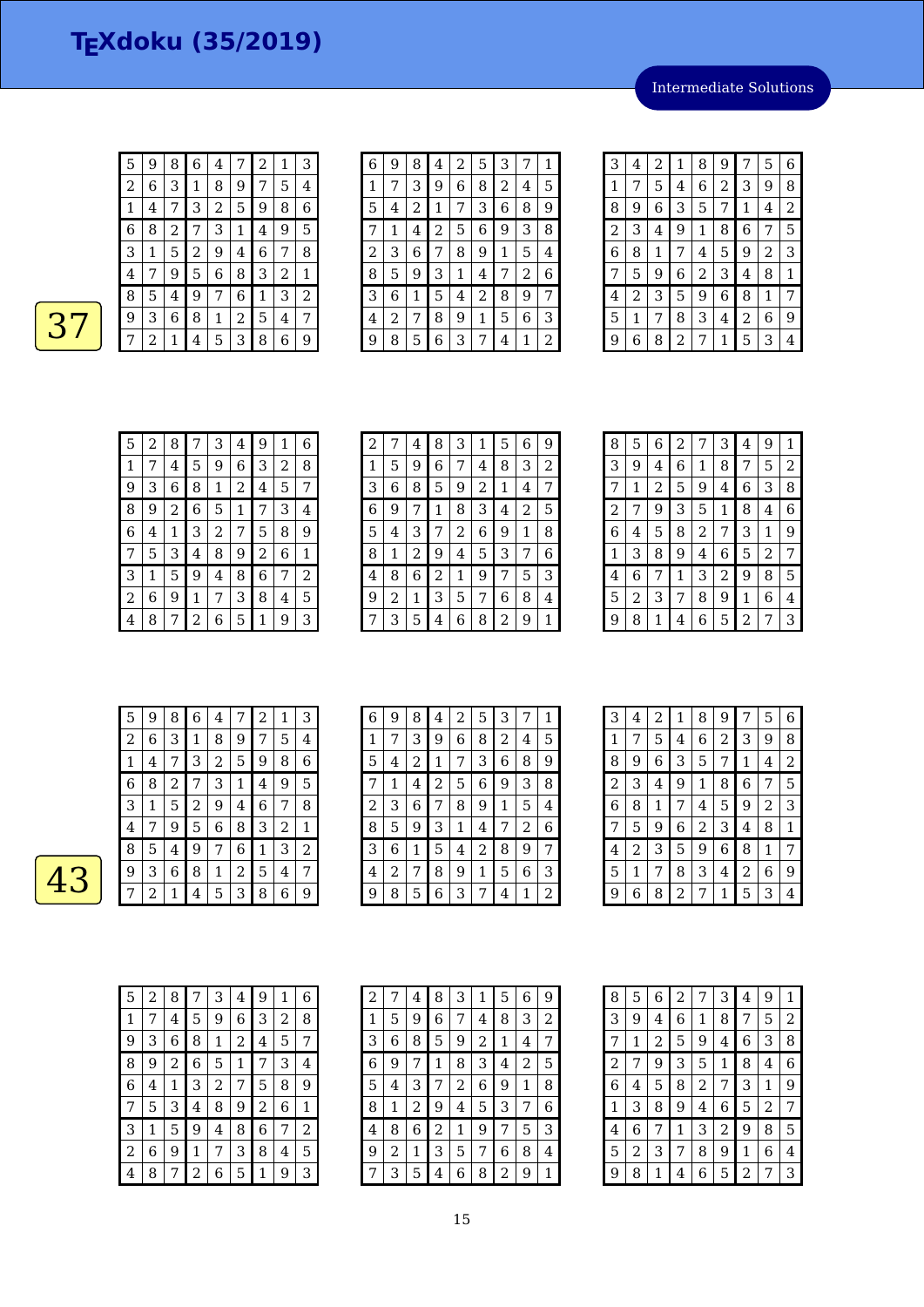Intermediate Solutions

| 5              | 9 | 8 | 6 | 4 | 7 | 2 | 1 | 3 |
|----------------|---|---|---|---|---|---|---|---|
| $\overline{c}$ | 6 | З | 1 | 8 | 9 | 7 | 5 | 4 |
| 1              | 4 | 7 | 3 | 2 | 5 | 9 | 8 | 6 |
| 6              | 8 | 2 | 7 | 3 | 1 | 4 | 9 | 5 |
| 3              | 1 | 5 | 2 | 9 | 4 | 6 | 7 | 8 |
| 4              | 7 | 9 | 5 | 6 | 8 | 3 | 2 | 1 |
| 8              | 5 | 4 | 9 | 7 | 6 | 1 | 3 | 2 |
| 9              | 3 | 6 | 8 | 1 | 2 | 5 | 4 | 7 |
|                | 2 | 1 | 4 | 5 | 3 | 8 | 6 | 9 |

| 6       | 9 | 8              | 4 | 2 | 5 | З |   | 1 |
|---------|---|----------------|---|---|---|---|---|---|
| 1       | 7 | 3              | 9 | 6 | 8 | 2 | 4 | 5 |
| 5       | 4 | $\overline{c}$ | 1 | 7 | 3 | 6 | 8 | 9 |
| 7       | 1 | 4              | 2 | 5 | 6 | 9 | 3 | 8 |
| 2       | 3 | 6              | 7 | 8 | 9 | 1 | 5 | 4 |
| 8       | 5 | 9              | 3 | 1 | 4 | 7 | 2 | 6 |
| 3       | 6 | 1              | 5 | 4 | 2 | 8 | 9 | 7 |
| 4       | 2 | 7              | 8 | 9 | 1 | 5 | 6 | 3 |
| $\circ$ | 8 | 5              | 6 | 3 | 7 | 4 | 1 | 2 |

| 3 | 4 | 2 | 1 | 8 | g | 7 | 5              | 6              |
|---|---|---|---|---|---|---|----------------|----------------|
| 1 | 7 | 5 | 4 | 6 | 2 | З | 9              | 8              |
| 8 | 9 | 6 | 3 | 5 | 7 | 1 | 4              | $\overline{2}$ |
| 2 | 3 | 4 | 9 | 1 | 8 | 6 | 7              | 5              |
| 6 | 8 | 1 | 7 | 4 | 5 | 9 | $\overline{c}$ | 3              |
| 7 | 5 | 9 | 6 | 2 | 3 | 4 | 8              | 1              |
| 4 | 2 | 3 | 5 | 9 | 6 | 8 | 1              | 7              |
| 5 | 1 | 7 | 8 | 3 | 4 | 2 | 6              | 9              |
| 9 | 6 | 8 | 2 | 7 | 1 | 5 | 3              | 4              |

| 5 | 2 | 8 |   | 3 | 4 | 9 | 1 | 6 |
|---|---|---|---|---|---|---|---|---|
| 1 | 7 | 4 | 5 | 9 | 6 | 3 | 2 | 8 |
| 9 | З | 6 | 8 | 1 | 2 | 4 | 5 | 7 |
| 8 | 9 | 2 | 6 | 5 | 1 | 7 | 3 | 4 |
| 6 | 4 | 1 | 3 | 2 | 7 | 5 | 8 | 9 |
| 7 | 5 | 3 | 4 | 8 | 9 | 2 | 6 | 1 |
| 3 | 1 | 5 | 9 | 4 | 8 | 6 | 7 | 2 |
| 2 | 6 | 9 | 1 | 7 | 3 | 8 | 4 | 5 |
| 4 | 8 | 7 | 2 | 6 | 5 |   | 9 | 3 |

| $\overline{2}$ | 7 | 4 | 8 | 3              | 1 | 5 | 6 | 9 |
|----------------|---|---|---|----------------|---|---|---|---|
| 1              | 5 | 9 | 6 | 7              | 4 | 8 | 3 | 2 |
| 3              | 6 | 8 | 5 | 9              | 2 | 1 | 4 | 7 |
| 6              | 9 |   | 1 | 8              | 3 | 4 | 2 | 5 |
| 5              | 4 | 3 | 7 | $\overline{2}$ | 6 | 9 | 1 | 8 |
| 8              | 1 | 2 | 9 | 4              | 5 | 3 | 7 | 6 |
| 4              | 8 | 6 | 2 | 1              | 9 | 7 | 5 | 3 |
| 9              | 2 | 1 | 3 | 5              | 7 | 6 | 8 | 4 |
| 7              | 3 | 5 | 4 | 6              | 8 | 2 | 9 | 1 |

| 8 | 5 | 6 | 2 | 7 | 3 | 4 | 9 | 1              |
|---|---|---|---|---|---|---|---|----------------|
| 3 | 9 | 4 | 6 | 1 | 8 | 7 | 5 | $\overline{2}$ |
| 7 | 1 | 2 | 5 | 9 | 4 | 6 | 3 | 8              |
| 2 | 7 | 9 | 3 | 5 | 1 | 8 | 4 | 6              |
| 6 | 4 | 5 | 8 | 2 | 7 | 3 | 1 | 9              |
| 1 | 3 | 8 | 9 | 4 | 6 | 5 | 2 | 7              |
| 4 | 6 | 7 | 1 | 3 | 2 | 9 | 8 | 5              |
| 5 | 2 | 3 | 7 | 8 | 9 | 1 | 6 | 4              |
| 9 | 8 | 1 | 4 | 6 | 5 | 2 | 7 | 3              |

| 5 | 9              | 8              | 6 | 4 |   | 2 | 1 | 3 |
|---|----------------|----------------|---|---|---|---|---|---|
| 2 | 6              | 3              | 1 | 8 | 9 | 7 | 5 | 4 |
| 1 | 4              | 7              | З | 2 | 5 | 9 | 8 | 6 |
| 6 | 8              | $\overline{c}$ | 7 | З | 1 | 4 | 9 | 5 |
| 3 | 1              | 5              | 2 | 9 | 4 | 6 | 7 | 8 |
| 4 | 7              | 9              | 5 | 6 | 8 | З | 2 | 1 |
| 8 | 5              | 4              | 9 | 7 | 6 | 1 | 3 | 2 |
| 9 | 3              | 6              | 8 | 1 | 2 | 5 | 4 | 7 |
|   | $\overline{c}$ | 1              | 4 | 5 | 3 | 8 | 6 | 9 |

| 6 | 9 | 8 | 4              | $\overline{2}$ | 5 | 3 | 7 | $1\,$ |
|---|---|---|----------------|----------------|---|---|---|-------|
| 1 | 7 | 3 | 9              | 6              | 8 | 2 | 4 | 5     |
| 5 | 4 | 2 | 1              | 7              | 3 | 6 | 8 | 9     |
|   | 1 | 4 | $\overline{c}$ | 5              | 6 | 9 | 3 | 8     |
| 2 | 3 | 6 | 7              | 8              | 9 | 1 | 5 | 4     |
| 8 | 5 | 9 | 3              | 1              | 4 | 7 | 2 | 6     |
| 3 | 6 | 1 | 5              | 4              | 2 | 8 | 9 | 7     |
| 4 | 2 | 7 | 8              | 9              | 1 | 5 | 6 | 3     |
| 9 | 8 | 5 | 6              | 3              | 7 | 4 | 1 | 2     |

| 3 | 4 | $\overline{c}$ | 1              | 8              | 9 | 7              | 5 | 6 |
|---|---|----------------|----------------|----------------|---|----------------|---|---|
| 1 | 7 | 5              | 4              | 6              | 2 | 3              | 9 | 8 |
| 8 | 9 | 6              | 3              | 5              | 7 | 1              | 4 | 2 |
| 2 | 3 | 4              | 9              | 1              | 8 | 6              | 7 | 5 |
| 6 | 8 | 1              | 7              | 4              | 5 | 9              | 2 | 3 |
| 7 | 5 | 9              | $\,$ 6 $\,$    | $\overline{c}$ | 3 | 4              | 8 | 1 |
| 4 | 2 | 3              | 5              | 9              | 6 | 8              | 1 | 7 |
| 5 | 1 | 7              | 8              | 3              | 4 | $\overline{2}$ | 6 | 9 |
| 9 | 6 | 8              | $\overline{c}$ | 7              | 1 | 5              | 3 | 4 |

| 5 | 2 | 8 |                | 3              | 4 | 9 | 1 | 6 |
|---|---|---|----------------|----------------|---|---|---|---|
| 1 | 7 | 4 | 5              | 9              | 6 | 3 | 2 | 8 |
| 9 | З | 6 | 8              | 1              | 2 | 4 | 5 | 7 |
| 8 | 9 | 2 | 6              | 5              | 1 | 7 | 3 | 4 |
| 6 | 4 | 1 | З              | $\overline{c}$ | 7 | 5 | 8 | 9 |
| 7 | 5 | 3 | 4              | 8              | 9 | 2 | 6 | 1 |
| 3 | 1 | 5 | 9              | 4              | 8 | 6 | 7 | 2 |
| 2 | 6 | 9 | 1              | 7              | З | 8 | 4 | 5 |
| 4 | 8 |   | $\overline{c}$ | 6              | 5 | 1 | 9 | З |

| 2 | 7 | 4 | 8 | 3 | 1 | 5 | 6 | 9 |
|---|---|---|---|---|---|---|---|---|
| 1 | 5 | 9 | 6 | 7 | 4 | 8 | З | 2 |
| 3 | 6 | 8 | 5 | 9 | 2 | 1 | 4 | 7 |
| 6 | 9 | 7 | 1 | 8 | 3 | 4 | 2 | 5 |
| 5 | 4 | З | 7 | 2 | 6 | 9 | 1 | 8 |
| 8 | 1 | 2 | 9 | 4 | 5 | З | 7 | 6 |
| 4 | 8 | 6 | 2 | 1 | 9 | 7 | 5 | 3 |
| 9 | 2 | 1 | З | 5 | 7 | 6 | 8 | 4 |
|   | 3 | 5 | 4 | 6 | 8 | 2 | 9 | 1 |

| 8              | 5 | 6 | 2 | 7 | 3 | 4 | 9              | 1 |
|----------------|---|---|---|---|---|---|----------------|---|
| 3              | 9 | 4 | 6 | 1 | 8 | 7 | 5              | 2 |
| 7              | 1 | 2 | 5 | 9 | 4 | 6 | 3              | 8 |
| $\overline{c}$ | 7 | 9 | 3 | 5 | 1 | 8 | 4              | 6 |
| 6              | 4 | 5 | 8 | 2 | 7 | 3 | 1              | 9 |
| 1              | З | 8 | 9 | 4 | 6 | 5 | $\overline{c}$ | 7 |
| 4              | 6 | 7 | 1 | 3 | 2 | 9 | 8              | 5 |
| 5              | 2 | З | 7 | 8 | 9 | 1 | 6              | 4 |
| 9              | 8 | 1 | 4 | 6 | 5 | 2 | 7              | З |